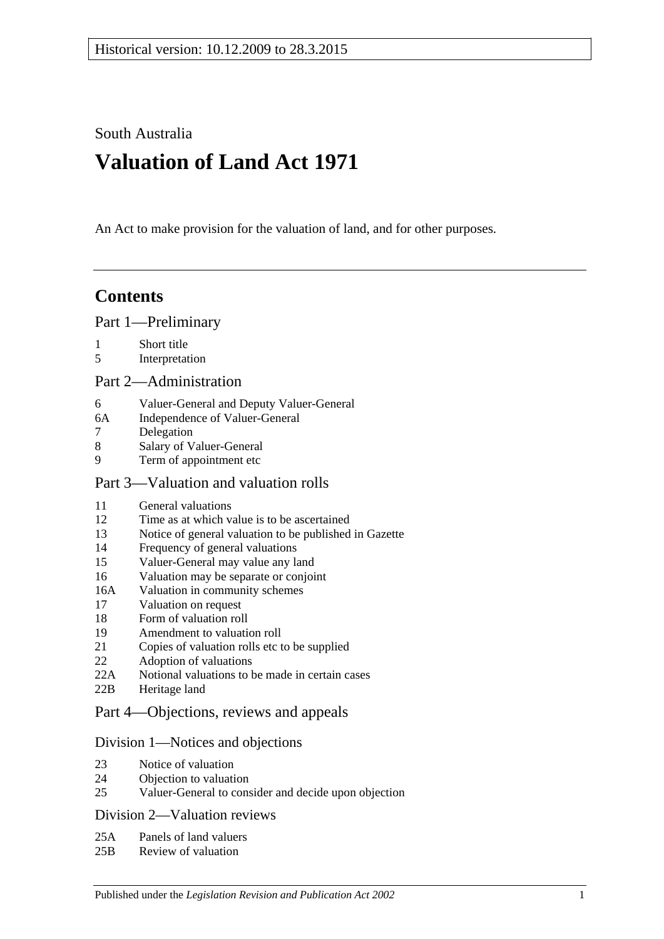South Australia

# **Valuation of Land Act 1971**

An Act to make provision for the valuation of land, and for other purposes.

## **Contents**

[Part 1—Preliminary](#page-1-0)

- 1 [Short title](#page-1-1)
- 5 [Interpretation](#page-1-2)

#### [Part 2—Administration](#page-4-0)

- 6 [Valuer-General and Deputy Valuer-General](#page-4-1)
- 6A [Independence of Valuer-General](#page-4-2)
- 7 [Delegation](#page-4-3)<br>8 Salary of V
- [Salary of Valuer-General](#page-4-4)
- 9 [Term of appointment etc](#page-4-5)

#### [Part 3—Valuation and valuation rolls](#page-6-0)

- 11 General [valuations](#page-6-1)
- 12 [Time as at which value is to be ascertained](#page-6-2)<br>13 Notice of general valuation to be published
- [Notice of general valuation to be published in Gazette](#page-6-3)
- 14 [Frequency of general valuations](#page-6-4)
- 15 [Valuer-General may value any land](#page-7-0)
- 16 [Valuation may be separate or conjoint](#page-7-1)
- 16A [Valuation in community schemes](#page-7-2)
- 17 [Valuation on request](#page-7-3)
- 18 [Form of valuation roll](#page-8-0)
- 19 [Amendment to valuation roll](#page-8-1)
- 21 [Copies of valuation rolls etc to be supplied](#page-9-0)
- 22 [Adoption of valuations](#page-9-1)
- 22A [Notional valuations to be made in certain cases](#page-9-2)
- 22B [Heritage land](#page-11-0)

#### [Part 4—Objections, reviews and appeals](#page-12-0)

#### [Division 1—Notices and objections](#page-12-1)

- 23 [Notice of valuation](#page-12-2)
- 24 [Objection to valuation](#page-12-3)
- 25 [Valuer-General to consider and decide upon objection](#page-13-0)

#### [Division 2—Valuation reviews](#page-13-1)

- 25A [Panels of land valuers](#page-13-2)
- 25B [Review of valuation](#page-14-0)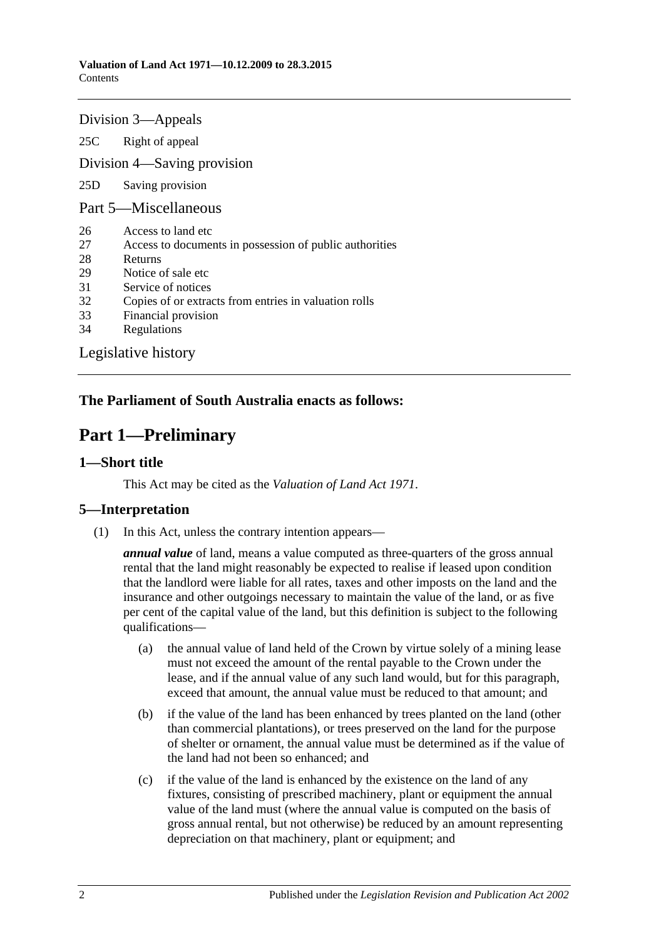#### [Division 3—Appeals](#page-15-0)

25C [Right of appeal](#page-15-1)

[Division 4—Saving provision](#page-15-2)

25D [Saving provision](#page-15-3)

#### [Part 5—Miscellaneous](#page-15-4)

- 26 [Access to land etc](#page-15-5)
- 27 [Access to documents in possession of public authorities](#page-16-0)
- 28 [Returns](#page-16-1)
- 29 [Notice of sale etc](#page-16-2)
- 31 [Service of notices](#page-17-0)
- 32 [Copies of or extracts from entries in valuation rolls](#page-17-1)
- 33 [Financial provision](#page-17-2)
- 34 [Regulations](#page-17-3)

[Legislative history](#page-18-0)

#### <span id="page-1-0"></span>**The Parliament of South Australia enacts as follows:**

## **Part 1—Preliminary**

#### <span id="page-1-1"></span>**1—Short title**

This Act may be cited as the *Valuation of Land Act 1971*.

#### <span id="page-1-2"></span>**5—Interpretation**

(1) In this Act, unless the contrary intention appears—

*annual value* of land, means a value computed as three-quarters of the gross annual rental that the land might reasonably be expected to realise if leased upon condition that the landlord were liable for all rates, taxes and other imposts on the land and the insurance and other outgoings necessary to maintain the value of the land, or as five per cent of the capital value of the land, but this definition is subject to the following qualifications—

- (a) the annual value of land held of the Crown by virtue solely of a mining lease must not exceed the amount of the rental payable to the Crown under the lease, and if the annual value of any such land would, but for this paragraph, exceed that amount, the annual value must be reduced to that amount; and
- (b) if the value of the land has been enhanced by trees planted on the land (other than commercial plantations), or trees preserved on the land for the purpose of shelter or ornament, the annual value must be determined as if the value of the land had not been so enhanced; and
- (c) if the value of the land is enhanced by the existence on the land of any fixtures, consisting of prescribed machinery, plant or equipment the annual value of the land must (where the annual value is computed on the basis of gross annual rental, but not otherwise) be reduced by an amount representing depreciation on that machinery, plant or equipment; and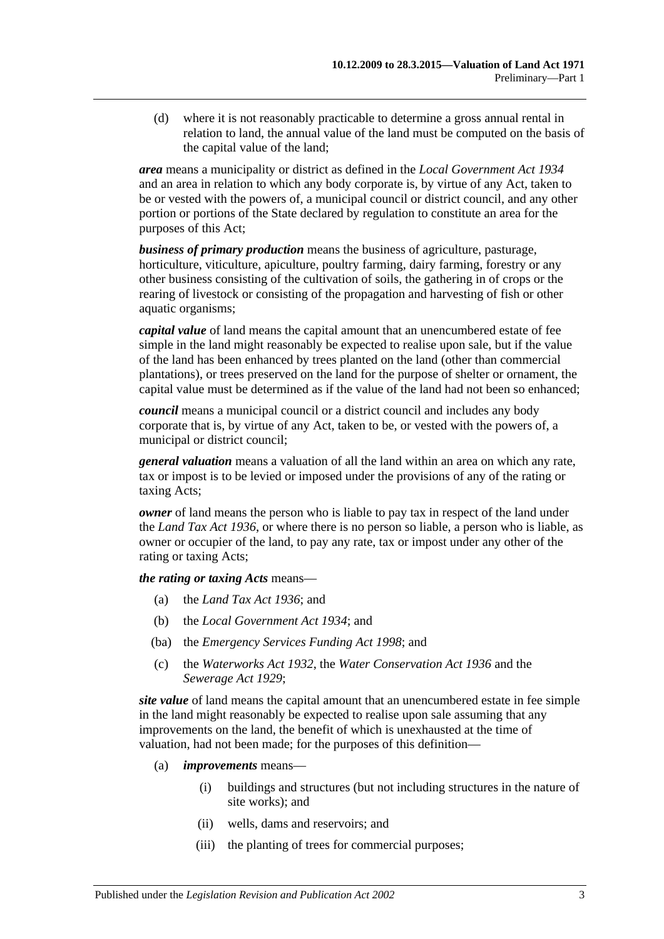(d) where it is not reasonably practicable to determine a gross annual rental in relation to land, the annual value of the land must be computed on the basis of the capital value of the land;

*area* means a municipality or district as defined in the *[Local Government Act](http://www.legislation.sa.gov.au/index.aspx?action=legref&type=act&legtitle=Local%20Government%20Act%201934) 1934* and an area in relation to which any body corporate is, by virtue of any Act, taken to be or vested with the powers of, a municipal council or district council, and any other portion or portions of the State declared by regulation to constitute an area for the purposes of this Act;

*business of primary production* means the business of agriculture, pasturage, horticulture, viticulture, apiculture, poultry farming, dairy farming, forestry or any other business consisting of the cultivation of soils, the gathering in of crops or the rearing of livestock or consisting of the propagation and harvesting of fish or other aquatic organisms;

*capital value* of land means the capital amount that an unencumbered estate of fee simple in the land might reasonably be expected to realise upon sale, but if the value of the land has been enhanced by trees planted on the land (other than commercial plantations), or trees preserved on the land for the purpose of shelter or ornament, the capital value must be determined as if the value of the land had not been so enhanced;

*council* means a municipal council or a district council and includes any body corporate that is, by virtue of any Act, taken to be, or vested with the powers of, a municipal or district council;

*general valuation* means a valuation of all the land within an area on which any rate, tax or impost is to be levied or imposed under the provisions of any of the rating or taxing Acts;

*owner* of land means the person who is liable to pay tax in respect of the land under the *[Land Tax Act](http://www.legislation.sa.gov.au/index.aspx?action=legref&type=act&legtitle=Land%20Tax%20Act%201936) 1936*, or where there is no person so liable, a person who is liable, as owner or occupier of the land, to pay any rate, tax or impost under any other of the rating or taxing Acts;

*the rating or taxing Acts* means—

- (a) the *[Land Tax Act](http://www.legislation.sa.gov.au/index.aspx?action=legref&type=act&legtitle=Land%20Tax%20Act%201936) 1936*; and
- (b) the *[Local Government Act](http://www.legislation.sa.gov.au/index.aspx?action=legref&type=act&legtitle=Local%20Government%20Act%201934) 1934*; and
- (ba) the *[Emergency Services Funding Act](http://www.legislation.sa.gov.au/index.aspx?action=legref&type=act&legtitle=Emergency%20Services%20Funding%20Act%201998) 1998*; and
- (c) the *[Waterworks Act](http://www.legislation.sa.gov.au/index.aspx?action=legref&type=act&legtitle=Waterworks%20Act%201932) 1932*, the *[Water Conservation Act](http://www.legislation.sa.gov.au/index.aspx?action=legref&type=act&legtitle=Water%20Conservation%20Act%201936) 1936* and the *[Sewerage Act](http://www.legislation.sa.gov.au/index.aspx?action=legref&type=act&legtitle=Sewerage%20Act%201929) 1929*;

*site value* of land means the capital amount that an unencumbered estate in fee simple in the land might reasonably be expected to realise upon sale assuming that any improvements on the land, the benefit of which is unexhausted at the time of valuation, had not been made; for the purposes of this definition—

- (a) *improvements* means—
	- (i) buildings and structures (but not including structures in the nature of site works); and
	- (ii) wells, dams and reservoirs; and
	- (iii) the planting of trees for commercial purposes;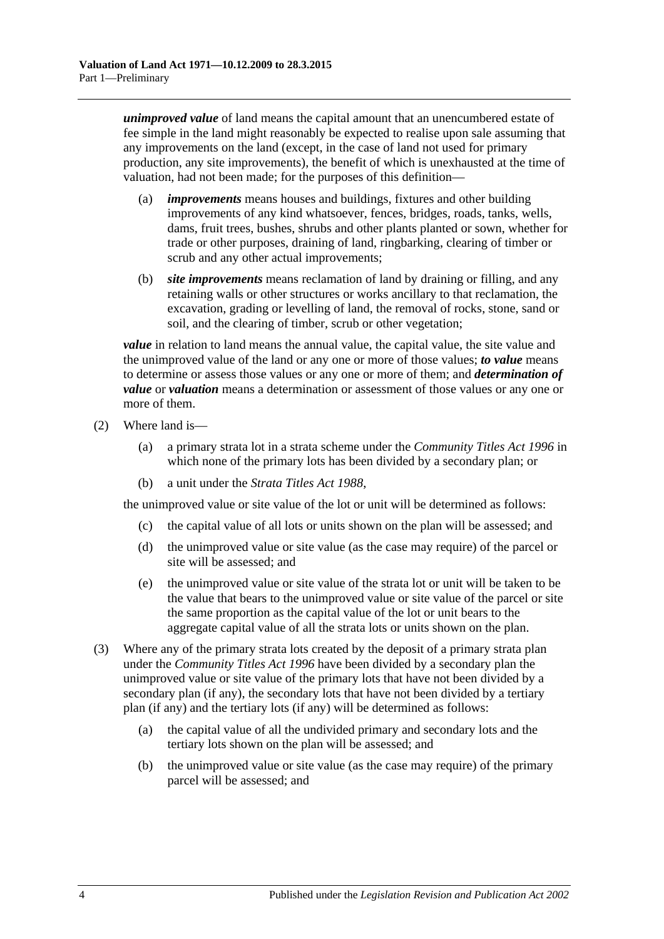*unimproved value* of land means the capital amount that an unencumbered estate of fee simple in the land might reasonably be expected to realise upon sale assuming that any improvements on the land (except, in the case of land not used for primary production, any site improvements), the benefit of which is unexhausted at the time of valuation, had not been made; for the purposes of this definition—

- (a) *improvements* means houses and buildings, fixtures and other building improvements of any kind whatsoever, fences, bridges, roads, tanks, wells, dams, fruit trees, bushes, shrubs and other plants planted or sown, whether for trade or other purposes, draining of land, ringbarking, clearing of timber or scrub and any other actual improvements;
- (b) *site improvements* means reclamation of land by draining or filling, and any retaining walls or other structures or works ancillary to that reclamation, the excavation, grading or levelling of land, the removal of rocks, stone, sand or soil, and the clearing of timber, scrub or other vegetation;

*value* in relation to land means the annual value, the capital value, the site value and the unimproved value of the land or any one or more of those values; *to value* means to determine or assess those values or any one or more of them; and *determination of value* or *valuation* means a determination or assessment of those values or any one or more of them.

- (2) Where land is—
	- (a) a primary strata lot in a strata scheme under the *[Community Titles Act](http://www.legislation.sa.gov.au/index.aspx?action=legref&type=act&legtitle=Community%20Titles%20Act%201996) 1996* in which none of the primary lots has been divided by a secondary plan; or
	- (b) a unit under the *[Strata Titles Act](http://www.legislation.sa.gov.au/index.aspx?action=legref&type=act&legtitle=Strata%20Titles%20Act%201988) 1988*,

the unimproved value or site value of the lot or unit will be determined as follows:

- (c) the capital value of all lots or units shown on the plan will be assessed; and
- (d) the unimproved value or site value (as the case may require) of the parcel or site will be assessed; and
- (e) the unimproved value or site value of the strata lot or unit will be taken to be the value that bears to the unimproved value or site value of the parcel or site the same proportion as the capital value of the lot or unit bears to the aggregate capital value of all the strata lots or units shown on the plan.
- (3) Where any of the primary strata lots created by the deposit of a primary strata plan under the *[Community Titles Act](http://www.legislation.sa.gov.au/index.aspx?action=legref&type=act&legtitle=Community%20Titles%20Act%201996) 1996* have been divided by a secondary plan the unimproved value or site value of the primary lots that have not been divided by a secondary plan (if any), the secondary lots that have not been divided by a tertiary plan (if any) and the tertiary lots (if any) will be determined as follows:
	- (a) the capital value of all the undivided primary and secondary lots and the tertiary lots shown on the plan will be assessed; and
	- (b) the unimproved value or site value (as the case may require) of the primary parcel will be assessed; and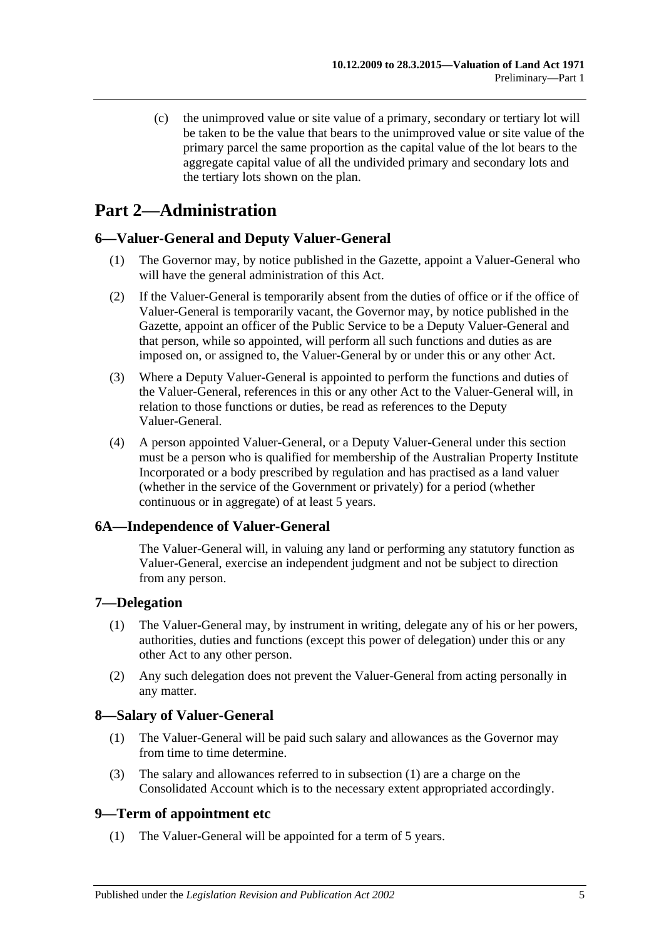(c) the unimproved value or site value of a primary, secondary or tertiary lot will be taken to be the value that bears to the unimproved value or site value of the primary parcel the same proportion as the capital value of the lot bears to the aggregate capital value of all the undivided primary and secondary lots and the tertiary lots shown on the plan.

## <span id="page-4-0"></span>**Part 2—Administration**

#### <span id="page-4-1"></span>**6—Valuer-General and Deputy Valuer-General**

- (1) The Governor may, by notice published in the Gazette, appoint a Valuer-General who will have the general administration of this Act.
- (2) If the Valuer-General is temporarily absent from the duties of office or if the office of Valuer-General is temporarily vacant, the Governor may, by notice published in the Gazette, appoint an officer of the Public Service to be a Deputy Valuer-General and that person, while so appointed, will perform all such functions and duties as are imposed on, or assigned to, the Valuer-General by or under this or any other Act.
- (3) Where a Deputy Valuer-General is appointed to perform the functions and duties of the Valuer-General, references in this or any other Act to the Valuer-General will, in relation to those functions or duties, be read as references to the Deputy Valuer-General.
- (4) A person appointed Valuer-General, or a Deputy Valuer-General under this section must be a person who is qualified for membership of the Australian Property Institute Incorporated or a body prescribed by regulation and has practised as a land valuer (whether in the service of the Government or privately) for a period (whether continuous or in aggregate) of at least 5 years.

#### <span id="page-4-2"></span>**6A—Independence of Valuer-General**

The Valuer-General will, in valuing any land or performing any statutory function as Valuer-General, exercise an independent judgment and not be subject to direction from any person.

#### <span id="page-4-3"></span>**7—Delegation**

- (1) The Valuer-General may, by instrument in writing, delegate any of his or her powers, authorities, duties and functions (except this power of delegation) under this or any other Act to any other person.
- (2) Any such delegation does not prevent the Valuer-General from acting personally in any matter.

#### <span id="page-4-6"></span><span id="page-4-4"></span>**8—Salary of Valuer-General**

- (1) The Valuer-General will be paid such salary and allowances as the Governor may from time to time determine.
- (3) The salary and allowances referred to in [subsection](#page-4-6) (1) are a charge on the Consolidated Account which is to the necessary extent appropriated accordingly.

#### <span id="page-4-5"></span>**9—Term of appointment etc**

(1) The Valuer-General will be appointed for a term of 5 years.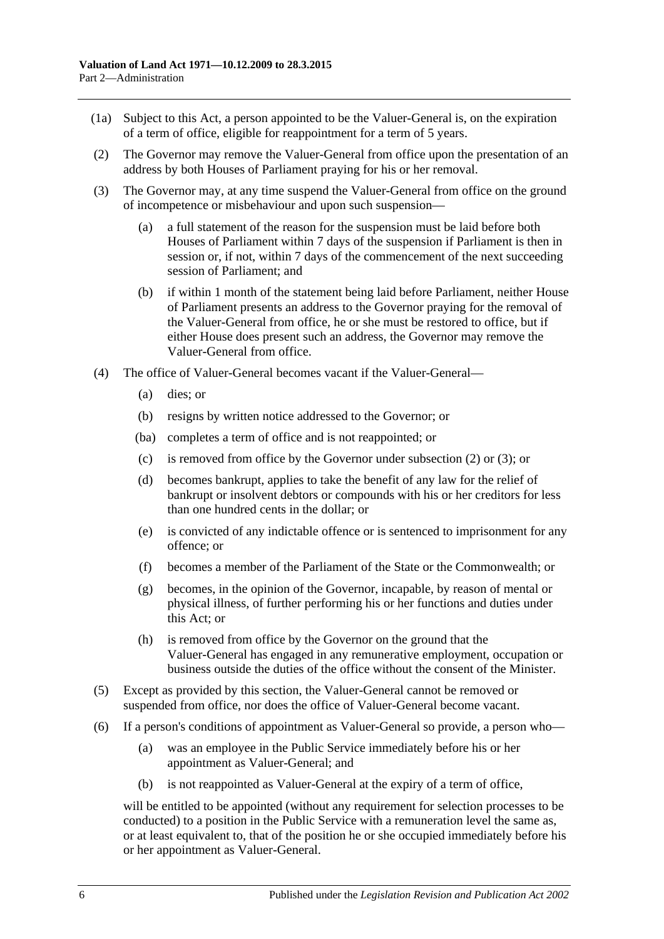- (1a) Subject to this Act, a person appointed to be the Valuer-General is, on the expiration of a term of office, eligible for reappointment for a term of 5 years.
- <span id="page-5-0"></span>(2) The Governor may remove the Valuer-General from office upon the presentation of an address by both Houses of Parliament praying for his or her removal.
- <span id="page-5-1"></span>(3) The Governor may, at any time suspend the Valuer-General from office on the ground of incompetence or misbehaviour and upon such suspension—
	- (a) a full statement of the reason for the suspension must be laid before both Houses of Parliament within 7 days of the suspension if Parliament is then in session or, if not, within 7 days of the commencement of the next succeeding session of Parliament; and
	- (b) if within 1 month of the statement being laid before Parliament, neither House of Parliament presents an address to the Governor praying for the removal of the Valuer-General from office, he or she must be restored to office, but if either House does present such an address, the Governor may remove the Valuer-General from office.
- (4) The office of Valuer-General becomes vacant if the Valuer-General—
	- (a) dies; or
	- (b) resigns by written notice addressed to the Governor; or
	- (ba) completes a term of office and is not reappointed; or
	- (c) is removed from office by the Governor under [subsection](#page-5-0) (2) or [\(3\);](#page-5-1) or
	- (d) becomes bankrupt, applies to take the benefit of any law for the relief of bankrupt or insolvent debtors or compounds with his or her creditors for less than one hundred cents in the dollar; or
	- (e) is convicted of any indictable offence or is sentenced to imprisonment for any offence; or
	- (f) becomes a member of the Parliament of the State or the Commonwealth; or
	- (g) becomes, in the opinion of the Governor, incapable, by reason of mental or physical illness, of further performing his or her functions and duties under this Act; or
	- (h) is removed from office by the Governor on the ground that the Valuer-General has engaged in any remunerative employment, occupation or business outside the duties of the office without the consent of the Minister.
- (5) Except as provided by this section, the Valuer-General cannot be removed or suspended from office, nor does the office of Valuer-General become vacant.
- (6) If a person's conditions of appointment as Valuer-General so provide, a person who—
	- (a) was an employee in the Public Service immediately before his or her appointment as Valuer-General; and
	- (b) is not reappointed as Valuer-General at the expiry of a term of office,

will be entitled to be appointed (without any requirement for selection processes to be conducted) to a position in the Public Service with a remuneration level the same as, or at least equivalent to, that of the position he or she occupied immediately before his or her appointment as Valuer-General.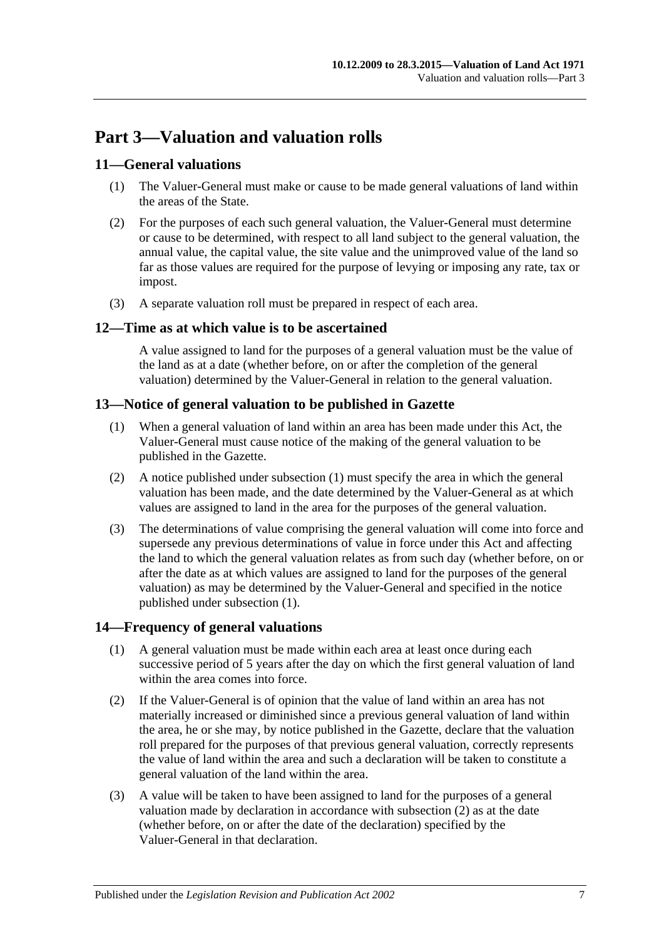## <span id="page-6-0"></span>**Part 3—Valuation and valuation rolls**

#### <span id="page-6-1"></span>**11—General valuations**

- (1) The Valuer-General must make or cause to be made general valuations of land within the areas of the State.
- (2) For the purposes of each such general valuation, the Valuer-General must determine or cause to be determined, with respect to all land subject to the general valuation, the annual value, the capital value, the site value and the unimproved value of the land so far as those values are required for the purpose of levying or imposing any rate, tax or impost.
- (3) A separate valuation roll must be prepared in respect of each area.

#### <span id="page-6-2"></span>**12—Time as at which value is to be ascertained**

A value assigned to land for the purposes of a general valuation must be the value of the land as at a date (whether before, on or after the completion of the general valuation) determined by the Valuer-General in relation to the general valuation.

#### <span id="page-6-5"></span><span id="page-6-3"></span>**13—Notice of general valuation to be published in Gazette**

- (1) When a general valuation of land within an area has been made under this Act, the Valuer-General must cause notice of the making of the general valuation to be published in the Gazette.
- (2) A notice published under [subsection](#page-6-5) (1) must specify the area in which the general valuation has been made, and the date determined by the Valuer-General as at which values are assigned to land in the area for the purposes of the general valuation.
- (3) The determinations of value comprising the general valuation will come into force and supersede any previous determinations of value in force under this Act and affecting the land to which the general valuation relates as from such day (whether before, on or after the date as at which values are assigned to land for the purposes of the general valuation) as may be determined by the Valuer-General and specified in the notice published under [subsection](#page-6-5) (1).

#### <span id="page-6-4"></span>**14—Frequency of general valuations**

- (1) A general valuation must be made within each area at least once during each successive period of 5 years after the day on which the first general valuation of land within the area comes into force.
- <span id="page-6-6"></span>(2) If the Valuer-General is of opinion that the value of land within an area has not materially increased or diminished since a previous general valuation of land within the area, he or she may, by notice published in the Gazette, declare that the valuation roll prepared for the purposes of that previous general valuation, correctly represents the value of land within the area and such a declaration will be taken to constitute a general valuation of the land within the area.
- (3) A value will be taken to have been assigned to land for the purposes of a general valuation made by declaration in accordance with [subsection](#page-6-6) (2) as at the date (whether before, on or after the date of the declaration) specified by the Valuer-General in that declaration.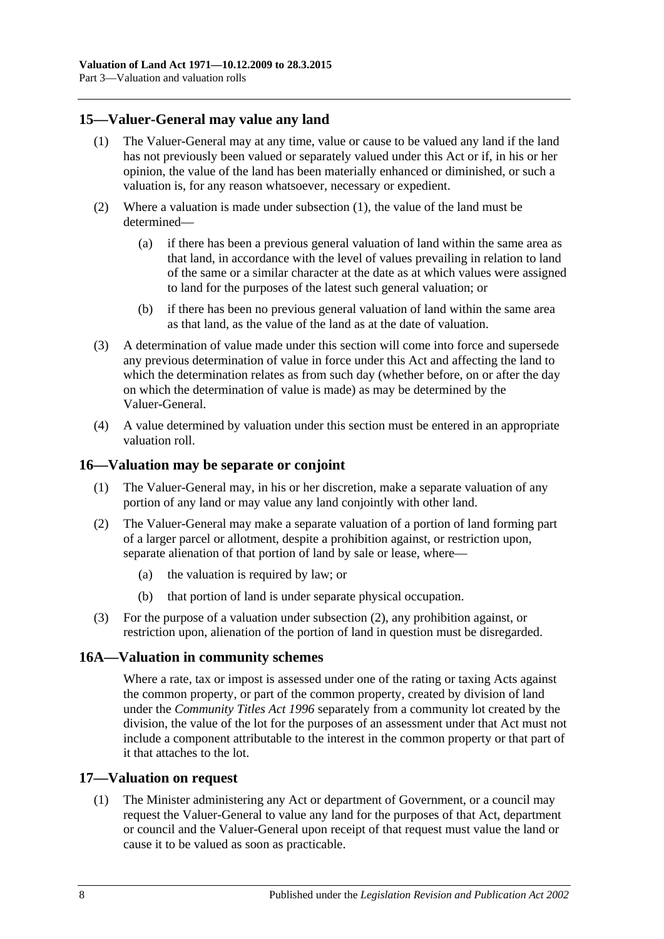#### <span id="page-7-4"></span><span id="page-7-0"></span>**15—Valuer-General may value any land**

- (1) The Valuer-General may at any time, value or cause to be valued any land if the land has not previously been valued or separately valued under this Act or if, in his or her opinion, the value of the land has been materially enhanced or diminished, or such a valuation is, for any reason whatsoever, necessary or expedient.
- (2) Where a valuation is made under [subsection](#page-7-4) (1), the value of the land must be determined—
	- (a) if there has been a previous general valuation of land within the same area as that land, in accordance with the level of values prevailing in relation to land of the same or a similar character at the date as at which values were assigned to land for the purposes of the latest such general valuation; or
	- (b) if there has been no previous general valuation of land within the same area as that land, as the value of the land as at the date of valuation.
- (3) A determination of value made under this section will come into force and supersede any previous determination of value in force under this Act and affecting the land to which the determination relates as from such day (whether before, on or after the day on which the determination of value is made) as may be determined by the Valuer-General.
- (4) A value determined by valuation under this section must be entered in an appropriate valuation roll.

#### <span id="page-7-1"></span>**16—Valuation may be separate or conjoint**

- (1) The Valuer-General may, in his or her discretion, make a separate valuation of any portion of any land or may value any land conjointly with other land.
- <span id="page-7-5"></span>(2) The Valuer-General may make a separate valuation of a portion of land forming part of a larger parcel or allotment, despite a prohibition against, or restriction upon, separate alienation of that portion of land by sale or lease, where—
	- (a) the valuation is required by law; or
	- (b) that portion of land is under separate physical occupation.
- (3) For the purpose of a valuation under [subsection](#page-7-5) (2), any prohibition against, or restriction upon, alienation of the portion of land in question must be disregarded.

#### <span id="page-7-2"></span>**16A—Valuation in community schemes**

Where a rate, tax or impost is assessed under one of the rating or taxing Acts against the common property, or part of the common property, created by division of land under the *[Community Titles Act](http://www.legislation.sa.gov.au/index.aspx?action=legref&type=act&legtitle=Community%20Titles%20Act%201996) 1996* separately from a community lot created by the division, the value of the lot for the purposes of an assessment under that Act must not include a component attributable to the interest in the common property or that part of it that attaches to the lot.

#### <span id="page-7-6"></span><span id="page-7-3"></span>**17—Valuation on request**

(1) The Minister administering any Act or department of Government, or a council may request the Valuer-General to value any land for the purposes of that Act, department or council and the Valuer-General upon receipt of that request must value the land or cause it to be valued as soon as practicable.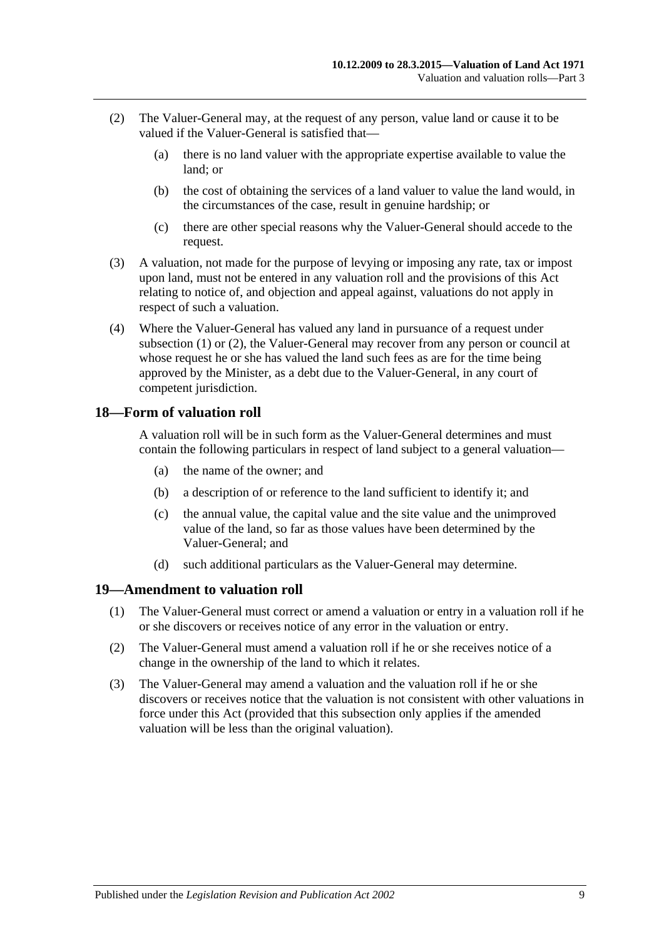- <span id="page-8-2"></span>(2) The Valuer-General may, at the request of any person, value land or cause it to be valued if the Valuer-General is satisfied that—
	- (a) there is no land valuer with the appropriate expertise available to value the land; or
	- (b) the cost of obtaining the services of a land valuer to value the land would, in the circumstances of the case, result in genuine hardship; or
	- (c) there are other special reasons why the Valuer-General should accede to the request.
- (3) A valuation, not made for the purpose of levying or imposing any rate, tax or impost upon land, must not be entered in any valuation roll and the provisions of this Act relating to notice of, and objection and appeal against, valuations do not apply in respect of such a valuation.
- (4) Where the Valuer-General has valued any land in pursuance of a request under [subsection](#page-7-6) (1) or [\(2\),](#page-8-2) the Valuer-General may recover from any person or council at whose request he or she has valued the land such fees as are for the time being approved by the Minister, as a debt due to the Valuer-General, in any court of competent jurisdiction.

#### <span id="page-8-0"></span>**18—Form of valuation roll**

A valuation roll will be in such form as the Valuer-General determines and must contain the following particulars in respect of land subject to a general valuation—

- (a) the name of the owner; and
- (b) a description of or reference to the land sufficient to identify it; and
- (c) the annual value, the capital value and the site value and the unimproved value of the land, so far as those values have been determined by the Valuer-General; and
- (d) such additional particulars as the Valuer-General may determine.

#### <span id="page-8-1"></span>**19—Amendment to valuation roll**

- (1) The Valuer-General must correct or amend a valuation or entry in a valuation roll if he or she discovers or receives notice of any error in the valuation or entry.
- (2) The Valuer-General must amend a valuation roll if he or she receives notice of a change in the ownership of the land to which it relates.
- (3) The Valuer-General may amend a valuation and the valuation roll if he or she discovers or receives notice that the valuation is not consistent with other valuations in force under this Act (provided that this subsection only applies if the amended valuation will be less than the original valuation).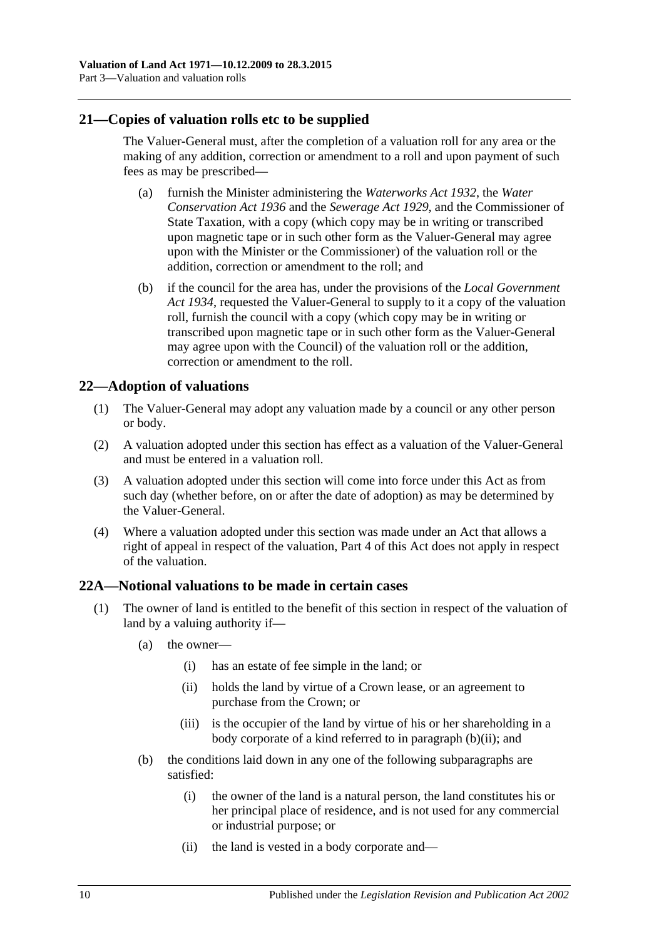#### <span id="page-9-0"></span>**21—Copies of valuation rolls etc to be supplied**

The Valuer-General must, after the completion of a valuation roll for any area or the making of any addition, correction or amendment to a roll and upon payment of such fees as may be prescribed—

- (a) furnish the Minister administering the *[Waterworks Act](http://www.legislation.sa.gov.au/index.aspx?action=legref&type=act&legtitle=Waterworks%20Act%201932) 1932*, the *[Water](http://www.legislation.sa.gov.au/index.aspx?action=legref&type=act&legtitle=Water%20Conservation%20Act%201936)  [Conservation Act](http://www.legislation.sa.gov.au/index.aspx?action=legref&type=act&legtitle=Water%20Conservation%20Act%201936) 1936* and the *[Sewerage Act](http://www.legislation.sa.gov.au/index.aspx?action=legref&type=act&legtitle=Sewerage%20Act%201929) 1929*, and the Commissioner of State Taxation, with a copy (which copy may be in writing or transcribed upon magnetic tape or in such other form as the Valuer-General may agree upon with the Minister or the Commissioner) of the valuation roll or the addition, correction or amendment to the roll; and
- (b) if the council for the area has, under the provisions of the *[Local Government](http://www.legislation.sa.gov.au/index.aspx?action=legref&type=act&legtitle=Local%20Government%20Act%201934)  Act [1934](http://www.legislation.sa.gov.au/index.aspx?action=legref&type=act&legtitle=Local%20Government%20Act%201934)*, requested the Valuer-General to supply to it a copy of the valuation roll, furnish the council with a copy (which copy may be in writing or transcribed upon magnetic tape or in such other form as the Valuer-General may agree upon with the Council) of the valuation roll or the addition, correction or amendment to the roll.

#### <span id="page-9-1"></span>**22—Adoption of valuations**

- (1) The Valuer-General may adopt any valuation made by a council or any other person or body.
- (2) A valuation adopted under this section has effect as a valuation of the Valuer-General and must be entered in a valuation roll.
- (3) A valuation adopted under this section will come into force under this Act as from such day (whether before, on or after the date of adoption) as may be determined by the Valuer-General.
- (4) Where a valuation adopted under this section was made under an Act that allows a right of appeal in respect of the valuation, [Part 4](#page-12-0) of this Act does not apply in respect of the valuation.

#### <span id="page-9-2"></span>**22A—Notional valuations to be made in certain cases**

- <span id="page-9-4"></span><span id="page-9-3"></span>(1) The owner of land is entitled to the benefit of this section in respect of the valuation of land by a valuing authority if—
	- (a) the owner—
		- (i) has an estate of fee simple in the land; or
		- (ii) holds the land by virtue of a Crown lease, or an agreement to purchase from the Crown; or
		- (iii) is the occupier of the land by virtue of his or her shareholding in a body corporate of a kind referred to in [paragraph](#page-9-3) (b)(ii); and
	- (b) the conditions laid down in any one of the following subparagraphs are satisfied:
		- (i) the owner of the land is a natural person, the land constitutes his or her principal place of residence, and is not used for any commercial or industrial purpose; or
		- (ii) the land is vested in a body corporate and—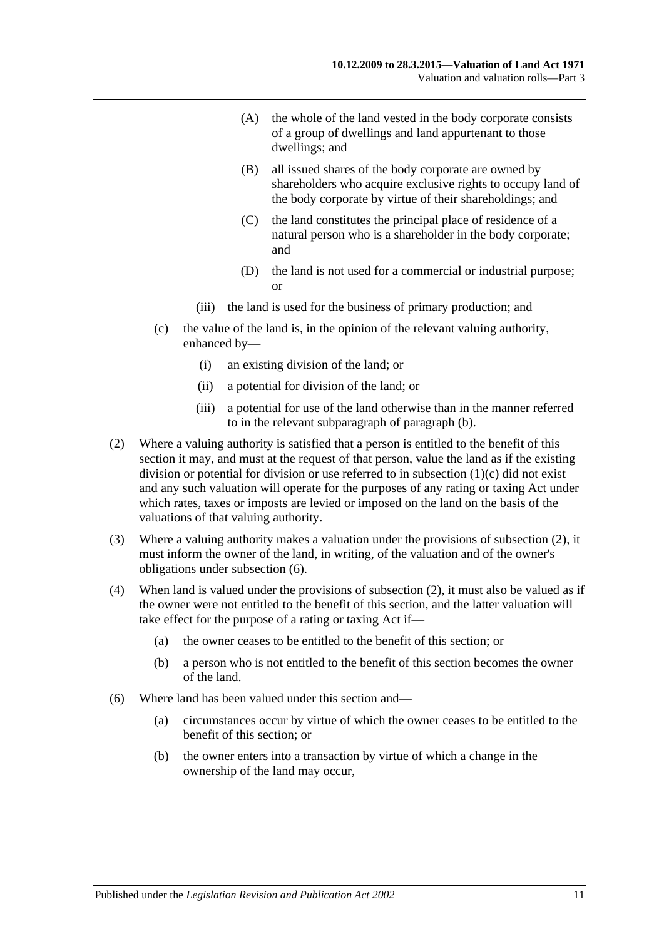- (A) the whole of the land vested in the body corporate consists of a group of dwellings and land appurtenant to those dwellings; and
- (B) all issued shares of the body corporate are owned by shareholders who acquire exclusive rights to occupy land of the body corporate by virtue of their shareholdings; and
- (C) the land constitutes the principal place of residence of a natural person who is a shareholder in the body corporate; and
- (D) the land is not used for a commercial or industrial purpose; or
- (iii) the land is used for the business of primary production; and
- <span id="page-10-0"></span>(c) the value of the land is, in the opinion of the relevant valuing authority, enhanced by—
	- (i) an existing division of the land; or
	- (ii) a potential for division of the land; or
	- (iii) a potential for use of the land otherwise than in the manner referred to in the relevant subparagraph of [paragraph](#page-9-4) (b).
- <span id="page-10-1"></span>(2) Where a valuing authority is satisfied that a person is entitled to the benefit of this section it may, and must at the request of that person, value the land as if the existing division or potential for division or use referred to in [subsection](#page-10-0) (1)(c) did not exist and any such valuation will operate for the purposes of any rating or taxing Act under which rates, taxes or imposts are levied or imposed on the land on the basis of the valuations of that valuing authority.
- (3) Where a valuing authority makes a valuation under the provisions of [subsection](#page-10-1) (2), it must inform the owner of the land, in writing, of the valuation and of the owner's obligations under [subsection](#page-10-2) (6).
- (4) When land is valued under the provisions of [subsection](#page-10-1) (2), it must also be valued as if the owner were not entitled to the benefit of this section, and the latter valuation will take effect for the purpose of a rating or taxing Act if—
	- (a) the owner ceases to be entitled to the benefit of this section; or
	- (b) a person who is not entitled to the benefit of this section becomes the owner of the land.
- <span id="page-10-2"></span>(6) Where land has been valued under this section and—
	- (a) circumstances occur by virtue of which the owner ceases to be entitled to the benefit of this section; or
	- (b) the owner enters into a transaction by virtue of which a change in the ownership of the land may occur,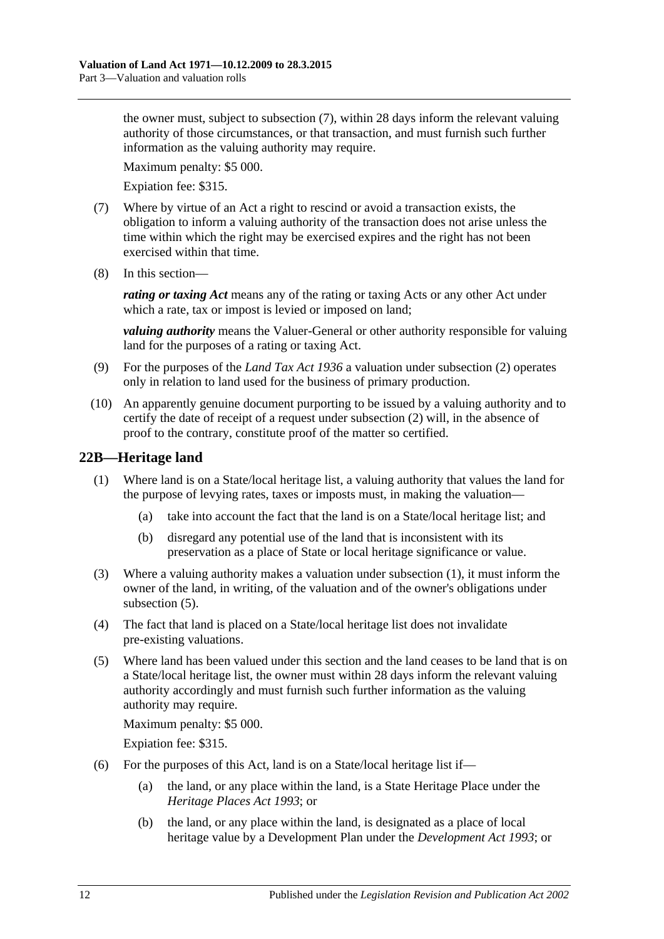the owner must, subject to [subsection](#page-11-1) (7), within 28 days inform the relevant valuing authority of those circumstances, or that transaction, and must furnish such further information as the valuing authority may require.

Maximum penalty: \$5 000.

Expiation fee: \$315.

- <span id="page-11-1"></span>(7) Where by virtue of an Act a right to rescind or avoid a transaction exists, the obligation to inform a valuing authority of the transaction does not arise unless the time within which the right may be exercised expires and the right has not been exercised within that time.
- (8) In this section—

*rating or taxing Act* means any of the rating or taxing Acts or any other Act under which a rate, tax or impost is levied or imposed on land;

*valuing authority* means the Valuer-General or other authority responsible for valuing land for the purposes of a rating or taxing Act.

- (9) For the purposes of the *[Land Tax Act](http://www.legislation.sa.gov.au/index.aspx?action=legref&type=act&legtitle=Land%20Tax%20Act%201936) 1936* a valuation under [subsection](#page-10-1) (2) operates only in relation to land used for the business of primary production.
- (10) An apparently genuine document purporting to be issued by a valuing authority and to certify the date of receipt of a request under [subsection](#page-10-1) (2) will, in the absence of proof to the contrary, constitute proof of the matter so certified.

#### <span id="page-11-2"></span><span id="page-11-0"></span>**22B—Heritage land**

- (1) Where land is on a State/local heritage list, a valuing authority that values the land for the purpose of levying rates, taxes or imposts must, in making the valuation—
	- (a) take into account the fact that the land is on a State/local heritage list; and
	- (b) disregard any potential use of the land that is inconsistent with its preservation as a place of State or local heritage significance or value.
- (3) Where a valuing authority makes a valuation under [subsection](#page-11-2) (1), it must inform the owner of the land, in writing, of the valuation and of the owner's obligations under [subsection](#page-11-3) (5).
- (4) The fact that land is placed on a State/local heritage list does not invalidate pre-existing valuations.
- <span id="page-11-3"></span>(5) Where land has been valued under this section and the land ceases to be land that is on a State/local heritage list, the owner must within 28 days inform the relevant valuing authority accordingly and must furnish such further information as the valuing authority may require.

Maximum penalty: \$5 000.

Expiation fee: \$315.

- (6) For the purposes of this Act, land is on a State/local heritage list if—
	- (a) the land, or any place within the land, is a State Heritage Place under the *[Heritage Places Act](http://www.legislation.sa.gov.au/index.aspx?action=legref&type=act&legtitle=Heritage%20Places%20Act%201993) 1993*; or
	- (b) the land, or any place within the land, is designated as a place of local heritage value by a Development Plan under the *[Development Act](http://www.legislation.sa.gov.au/index.aspx?action=legref&type=act&legtitle=Development%20Act%201993) 1993*; or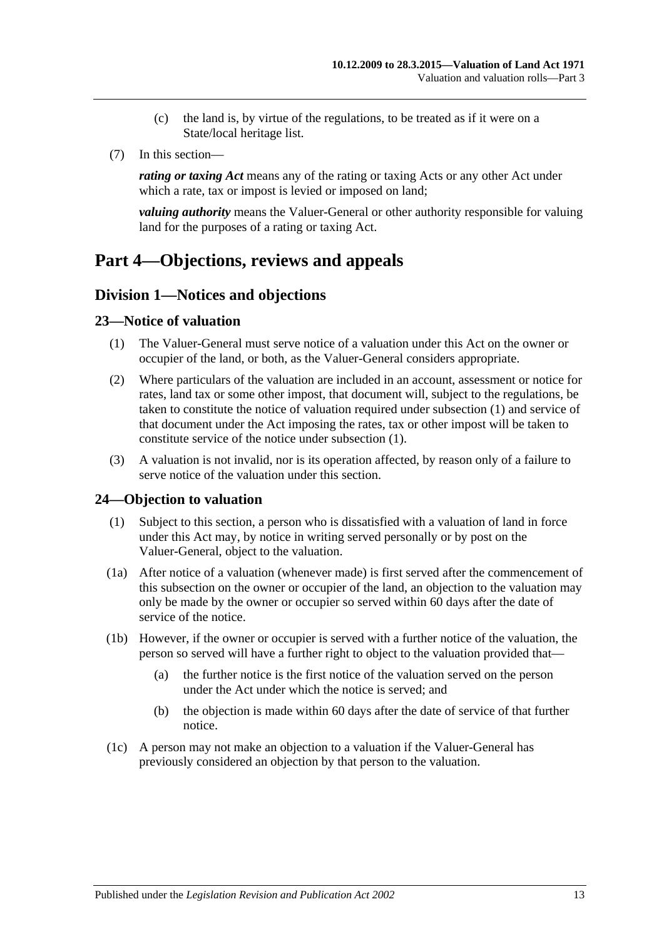- (c) the land is, by virtue of the regulations, to be treated as if it were on a State/local heritage list.
- (7) In this section—

*rating or taxing Act* means any of the rating or taxing Acts or any other Act under which a rate, tax or impost is levied or imposed on land:

*valuing authority* means the Valuer-General or other authority responsible for valuing land for the purposes of a rating or taxing Act.

### <span id="page-12-1"></span><span id="page-12-0"></span>**Part 4—Objections, reviews and appeals**

#### **Division 1—Notices and objections**

#### <span id="page-12-4"></span><span id="page-12-2"></span>**23—Notice of valuation**

- (1) The Valuer-General must serve notice of a valuation under this Act on the owner or occupier of the land, or both, as the Valuer-General considers appropriate.
- (2) Where particulars of the valuation are included in an account, assessment or notice for rates, land tax or some other impost, that document will, subject to the regulations, be taken to constitute the notice of valuation required under [subsection](#page-12-4) (1) and service of that document under the Act imposing the rates, tax or other impost will be taken to constitute service of the notice under [subsection](#page-12-4) (1).
- (3) A valuation is not invalid, nor is its operation affected, by reason only of a failure to serve notice of the valuation under this section.

#### <span id="page-12-5"></span><span id="page-12-3"></span>**24—Objection to valuation**

- (1) Subject to this section, a person who is dissatisfied with a valuation of land in force under this Act may, by notice in writing served personally or by post on the Valuer-General, object to the valuation.
- (1a) After notice of a valuation (whenever made) is first served after the commencement of this subsection on the owner or occupier of the land, an objection to the valuation may only be made by the owner or occupier so served within 60 days after the date of service of the notice.
- (1b) However, if the owner or occupier is served with a further notice of the valuation, the person so served will have a further right to object to the valuation provided that—
	- (a) the further notice is the first notice of the valuation served on the person under the Act under which the notice is served; and
	- (b) the objection is made within 60 days after the date of service of that further notice.
- (1c) A person may not make an objection to a valuation if the Valuer-General has previously considered an objection by that person to the valuation.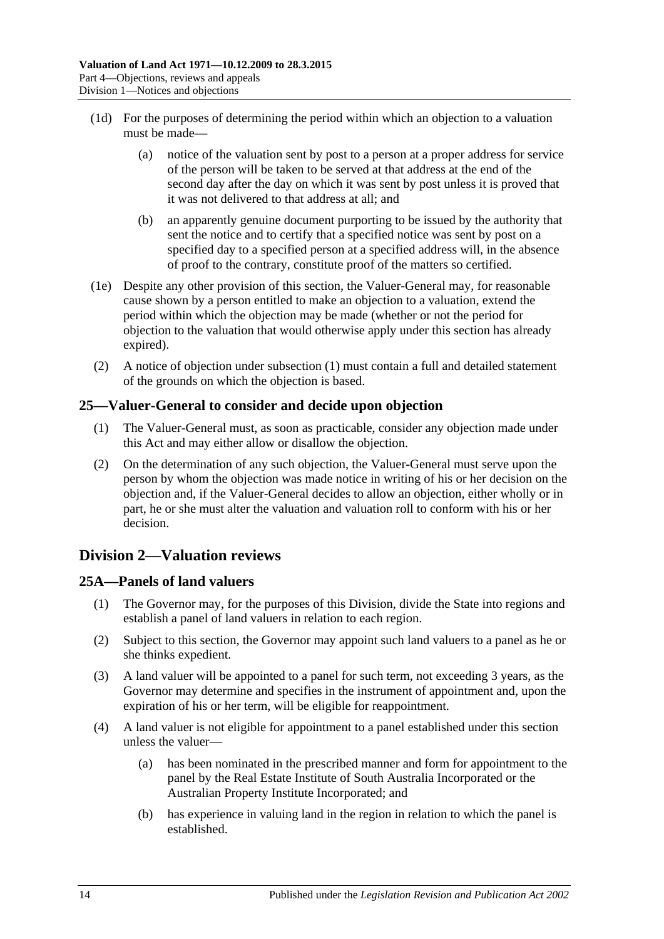- (1d) For the purposes of determining the period within which an objection to a valuation must be made—
	- (a) notice of the valuation sent by post to a person at a proper address for service of the person will be taken to be served at that address at the end of the second day after the day on which it was sent by post unless it is proved that it was not delivered to that address at all; and
	- (b) an apparently genuine document purporting to be issued by the authority that sent the notice and to certify that a specified notice was sent by post on a specified day to a specified person at a specified address will, in the absence of proof to the contrary, constitute proof of the matters so certified.
- (1e) Despite any other provision of this section, the Valuer-General may, for reasonable cause shown by a person entitled to make an objection to a valuation, extend the period within which the objection may be made (whether or not the period for objection to the valuation that would otherwise apply under this section has already expired).
- (2) A notice of objection under [subsection](#page-12-5) (1) must contain a full and detailed statement of the grounds on which the objection is based.

#### <span id="page-13-0"></span>**25—Valuer-General to consider and decide upon objection**

- (1) The Valuer-General must, as soon as practicable, consider any objection made under this Act and may either allow or disallow the objection.
- (2) On the determination of any such objection, the Valuer-General must serve upon the person by whom the objection was made notice in writing of his or her decision on the objection and, if the Valuer-General decides to allow an objection, either wholly or in part, he or she must alter the valuation and valuation roll to conform with his or her decision.

### <span id="page-13-1"></span>**Division 2—Valuation reviews**

#### <span id="page-13-2"></span>**25A—Panels of land valuers**

- (1) The Governor may, for the purposes of this Division, divide the State into regions and establish a panel of land valuers in relation to each region.
- (2) Subject to this section, the Governor may appoint such land valuers to a panel as he or she thinks expedient.
- (3) A land valuer will be appointed to a panel for such term, not exceeding 3 years, as the Governor may determine and specifies in the instrument of appointment and, upon the expiration of his or her term, will be eligible for reappointment.
- (4) A land valuer is not eligible for appointment to a panel established under this section unless the valuer—
	- (a) has been nominated in the prescribed manner and form for appointment to the panel by the Real Estate Institute of South Australia Incorporated or the Australian Property Institute Incorporated; and
	- (b) has experience in valuing land in the region in relation to which the panel is established.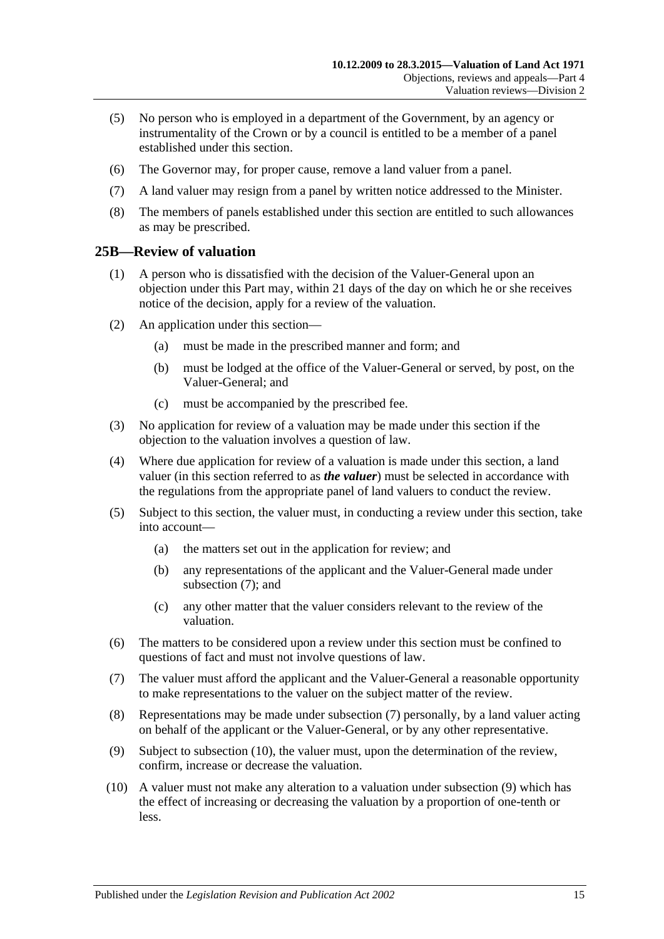- (5) No person who is employed in a department of the Government, by an agency or instrumentality of the Crown or by a council is entitled to be a member of a panel established under this section.
- (6) The Governor may, for proper cause, remove a land valuer from a panel.
- (7) A land valuer may resign from a panel by written notice addressed to the Minister.
- (8) The members of panels established under this section are entitled to such allowances as may be prescribed.

#### <span id="page-14-0"></span>**25B—Review of valuation**

- (1) A person who is dissatisfied with the decision of the Valuer-General upon an objection under this Part may, within 21 days of the day on which he or she receives notice of the decision, apply for a review of the valuation.
- (2) An application under this section—
	- (a) must be made in the prescribed manner and form; and
	- (b) must be lodged at the office of the Valuer-General or served, by post, on the Valuer-General; and
	- (c) must be accompanied by the prescribed fee.
- (3) No application for review of a valuation may be made under this section if the objection to the valuation involves a question of law.
- (4) Where due application for review of a valuation is made under this section, a land valuer (in this section referred to as *the valuer*) must be selected in accordance with the regulations from the appropriate panel of land valuers to conduct the review.
- (5) Subject to this section, the valuer must, in conducting a review under this section, take into account—
	- (a) the matters set out in the application for review; and
	- (b) any representations of the applicant and the Valuer-General made under [subsection](#page-14-1) (7); and
	- (c) any other matter that the valuer considers relevant to the review of the valuation.
- (6) The matters to be considered upon a review under this section must be confined to questions of fact and must not involve questions of law.
- <span id="page-14-1"></span>(7) The valuer must afford the applicant and the Valuer-General a reasonable opportunity to make representations to the valuer on the subject matter of the review.
- (8) Representations may be made under [subsection](#page-14-1) (7) personally, by a land valuer acting on behalf of the applicant or the Valuer-General, or by any other representative.
- <span id="page-14-3"></span>(9) Subject to [subsection](#page-14-2) (10), the valuer must, upon the determination of the review, confirm, increase or decrease the valuation.
- <span id="page-14-2"></span>(10) A valuer must not make any alteration to a valuation under [subsection](#page-14-3) (9) which has the effect of increasing or decreasing the valuation by a proportion of one-tenth or less.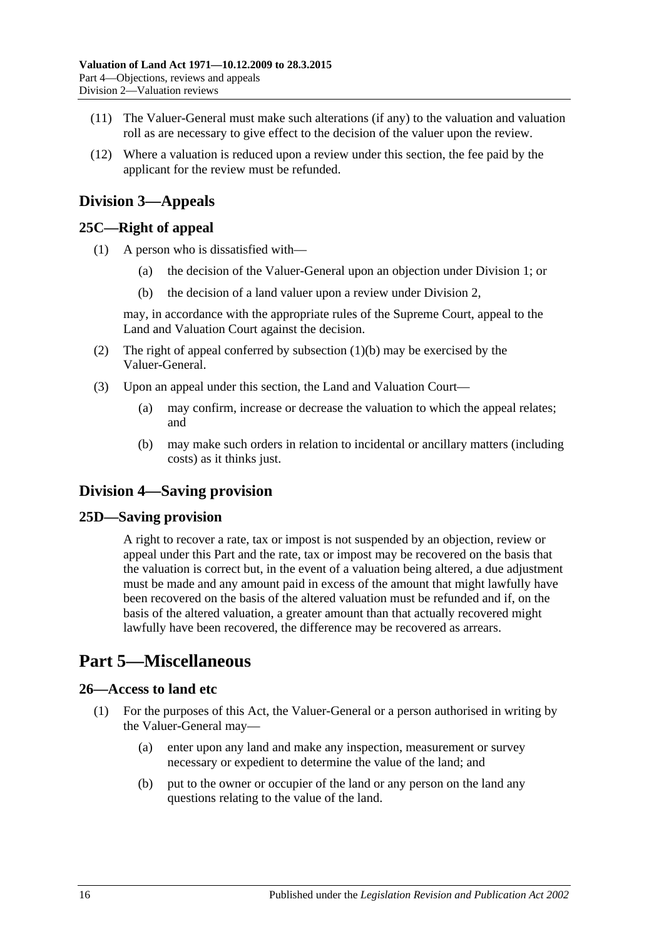- (11) The Valuer-General must make such alterations (if any) to the valuation and valuation roll as are necessary to give effect to the decision of the valuer upon the review.
- (12) Where a valuation is reduced upon a review under this section, the fee paid by the applicant for the review must be refunded.

### <span id="page-15-0"></span>**Division 3—Appeals**

#### <span id="page-15-1"></span>**25C—Right of appeal**

- <span id="page-15-6"></span>(1) A person who is dissatisfied with—
	- (a) the decision of the Valuer-General upon an objection under [Division 1;](#page-12-1) or
	- (b) the decision of a land valuer upon a review under [Division 2,](#page-13-1)

may, in accordance with the appropriate rules of the Supreme Court, appeal to the Land and Valuation Court against the decision.

- (2) The right of appeal conferred by [subsection](#page-15-6)  $(1)(b)$  may be exercised by the Valuer-General.
- (3) Upon an appeal under this section, the Land and Valuation Court—
	- (a) may confirm, increase or decrease the valuation to which the appeal relates; and
	- (b) may make such orders in relation to incidental or ancillary matters (including costs) as it thinks just.

### <span id="page-15-2"></span>**Division 4—Saving provision**

#### <span id="page-15-3"></span>**25D—Saving provision**

A right to recover a rate, tax or impost is not suspended by an objection, review or appeal under this Part and the rate, tax or impost may be recovered on the basis that the valuation is correct but, in the event of a valuation being altered, a due adjustment must be made and any amount paid in excess of the amount that might lawfully have been recovered on the basis of the altered valuation must be refunded and if, on the basis of the altered valuation, a greater amount than that actually recovered might lawfully have been recovered, the difference may be recovered as arrears.

## <span id="page-15-4"></span>**Part 5—Miscellaneous**

#### <span id="page-15-7"></span><span id="page-15-5"></span>**26—Access to land etc**

- (1) For the purposes of this Act, the Valuer-General or a person authorised in writing by the Valuer-General may—
	- (a) enter upon any land and make any inspection, measurement or survey necessary or expedient to determine the value of the land; and
	- (b) put to the owner or occupier of the land or any person on the land any questions relating to the value of the land.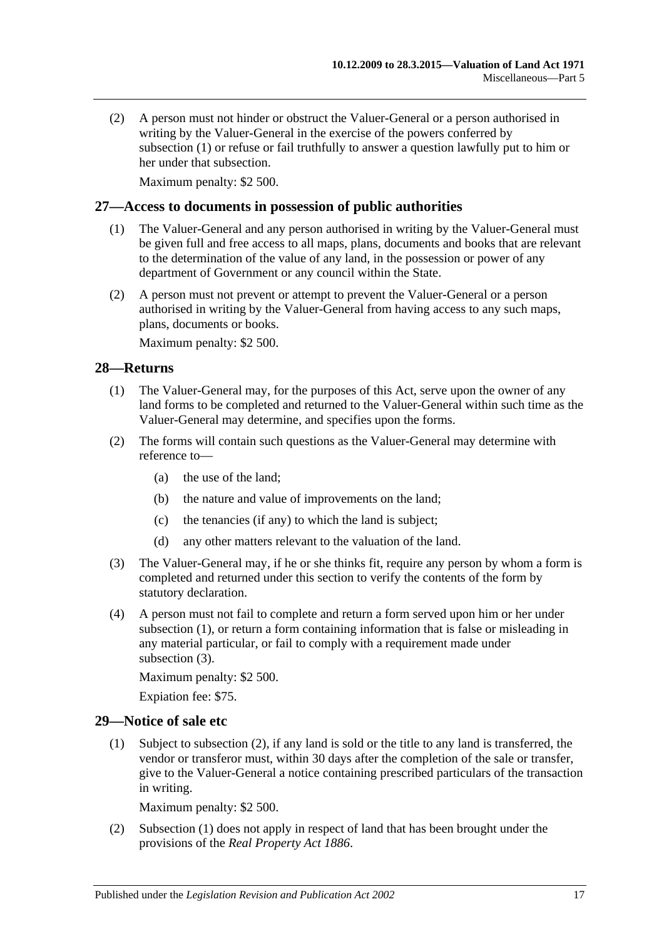(2) A person must not hinder or obstruct the Valuer-General or a person authorised in writing by the Valuer-General in the exercise of the powers conferred by [subsection](#page-15-7) (1) or refuse or fail truthfully to answer a question lawfully put to him or her under that subsection.

Maximum penalty: \$2 500.

#### <span id="page-16-0"></span>**27—Access to documents in possession of public authorities**

- (1) The Valuer-General and any person authorised in writing by the Valuer-General must be given full and free access to all maps, plans, documents and books that are relevant to the determination of the value of any land, in the possession or power of any department of Government or any council within the State.
- (2) A person must not prevent or attempt to prevent the Valuer-General or a person authorised in writing by the Valuer-General from having access to any such maps, plans, documents or books.

Maximum penalty: \$2 500.

#### <span id="page-16-3"></span><span id="page-16-1"></span>**28—Returns**

- (1) The Valuer-General may, for the purposes of this Act, serve upon the owner of any land forms to be completed and returned to the Valuer-General within such time as the Valuer-General may determine, and specifies upon the forms.
- (2) The forms will contain such questions as the Valuer-General may determine with reference to—
	- (a) the use of the land;
	- (b) the nature and value of improvements on the land;
	- (c) the tenancies (if any) to which the land is subject;
	- (d) any other matters relevant to the valuation of the land.
- <span id="page-16-4"></span>(3) The Valuer-General may, if he or she thinks fit, require any person by whom a form is completed and returned under this section to verify the contents of the form by statutory declaration.
- (4) A person must not fail to complete and return a form served upon him or her under [subsection](#page-16-3) (1), or return a form containing information that is false or misleading in any material particular, or fail to comply with a requirement made under [subsection](#page-16-4) (3).

Maximum penalty: \$2 500.

Expiation fee: \$75.

#### <span id="page-16-6"></span><span id="page-16-2"></span>**29—Notice of sale etc**

(1) Subject to [subsection](#page-16-5) (2), if any land is sold or the title to any land is transferred, the vendor or transferor must, within 30 days after the completion of the sale or transfer, give to the Valuer-General a notice containing prescribed particulars of the transaction in writing.

Maximum penalty: \$2 500.

<span id="page-16-5"></span>(2) [Subsection](#page-16-6) (1) does not apply in respect of land that has been brought under the provisions of the *[Real Property Act](http://www.legislation.sa.gov.au/index.aspx?action=legref&type=act&legtitle=Real%20Property%20Act%201886) 1886*.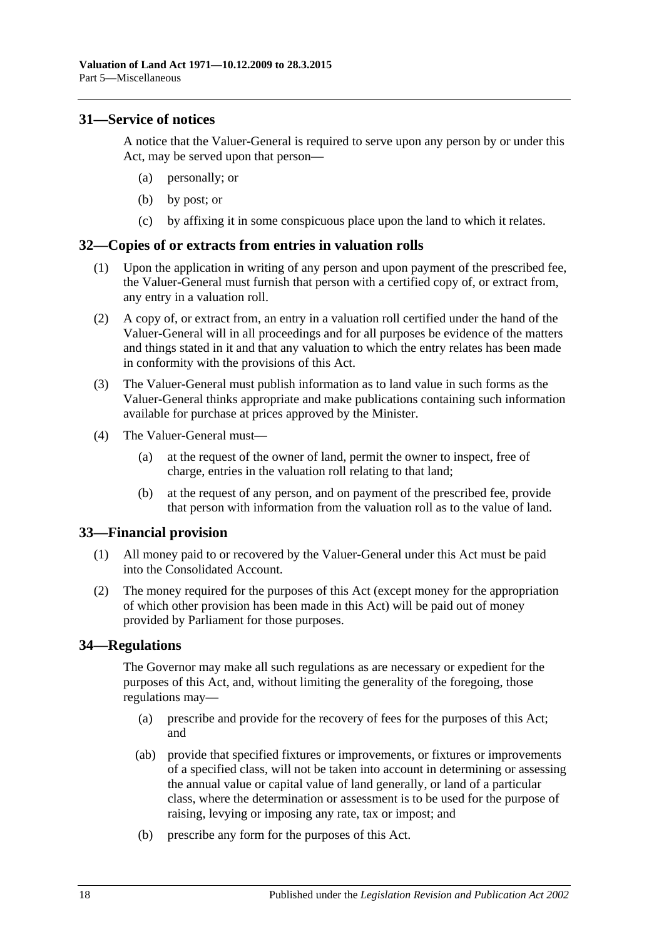#### <span id="page-17-0"></span>**31—Service of notices**

A notice that the Valuer-General is required to serve upon any person by or under this Act, may be served upon that person—

- (a) personally; or
- (b) by post; or
- (c) by affixing it in some conspicuous place upon the land to which it relates.

#### <span id="page-17-1"></span>**32—Copies of or extracts from entries in valuation rolls**

- (1) Upon the application in writing of any person and upon payment of the prescribed fee, the Valuer-General must furnish that person with a certified copy of, or extract from, any entry in a valuation roll.
- (2) A copy of, or extract from, an entry in a valuation roll certified under the hand of the Valuer-General will in all proceedings and for all purposes be evidence of the matters and things stated in it and that any valuation to which the entry relates has been made in conformity with the provisions of this Act.
- (3) The Valuer-General must publish information as to land value in such forms as the Valuer-General thinks appropriate and make publications containing such information available for purchase at prices approved by the Minister.
- (4) The Valuer-General must—
	- (a) at the request of the owner of land, permit the owner to inspect, free of charge, entries in the valuation roll relating to that land;
	- (b) at the request of any person, and on payment of the prescribed fee, provide that person with information from the valuation roll as to the value of land.

#### <span id="page-17-2"></span>**33—Financial provision**

- (1) All money paid to or recovered by the Valuer-General under this Act must be paid into the Consolidated Account.
- (2) The money required for the purposes of this Act (except money for the appropriation of which other provision has been made in this Act) will be paid out of money provided by Parliament for those purposes.

#### <span id="page-17-3"></span>**34—Regulations**

The Governor may make all such regulations as are necessary or expedient for the purposes of this Act, and, without limiting the generality of the foregoing, those regulations may—

- (a) prescribe and provide for the recovery of fees for the purposes of this Act; and
- (ab) provide that specified fixtures or improvements, or fixtures or improvements of a specified class, will not be taken into account in determining or assessing the annual value or capital value of land generally, or land of a particular class, where the determination or assessment is to be used for the purpose of raising, levying or imposing any rate, tax or impost; and
- (b) prescribe any form for the purposes of this Act.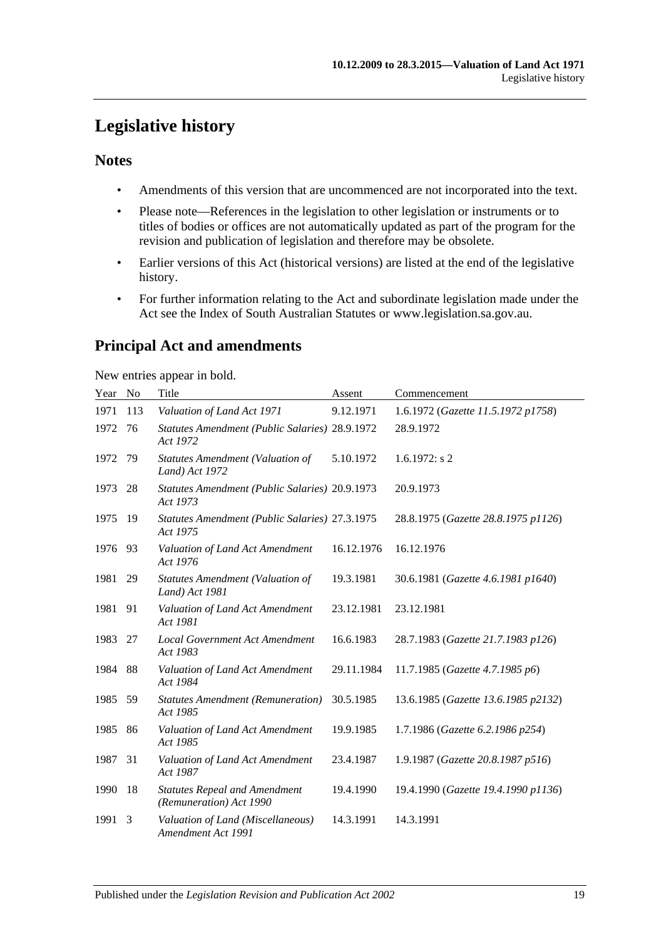## <span id="page-18-0"></span>**Legislative history**

#### **Notes**

- Amendments of this version that are uncommenced are not incorporated into the text.
- Please note—References in the legislation to other legislation or instruments or to titles of bodies or offices are not automatically updated as part of the program for the revision and publication of legislation and therefore may be obsolete.
- Earlier versions of this Act (historical versions) are listed at the end of the legislative history.
- For further information relating to the Act and subordinate legislation made under the Act see the Index of South Australian Statutes or www.legislation.sa.gov.au.

## **Principal Act and amendments**

New entries appear in bold.

| Year | N <sub>o</sub> | Title                                                           | Assent     | Commencement                        |
|------|----------------|-----------------------------------------------------------------|------------|-------------------------------------|
| 1971 | 113            | Valuation of Land Act 1971                                      | 9.12.1971  | 1.6.1972 (Gazette 11.5.1972 p1758)  |
| 1972 | 76             | Statutes Amendment (Public Salaries) 28.9.1972<br>Act 1972      |            | 28.9.1972                           |
| 1972 | 79             | <b>Statutes Amendment (Valuation of</b><br>Land) Act 1972       | 5.10.1972  | $1.6.1972$ : s 2                    |
| 1973 | 28             | Statutes Amendment (Public Salaries) 20.9.1973<br>Act 1973      |            | 20.9.1973                           |
| 1975 | 19             | Statutes Amendment (Public Salaries) 27.3.1975<br>Act 1975      |            | 28.8.1975 (Gazette 28.8.1975 p1126) |
| 1976 | 93             | Valuation of Land Act Amendment<br>Act 1976                     | 16.12.1976 | 16.12.1976                          |
| 1981 | 29             | <b>Statutes Amendment (Valuation of</b><br>Land) Act 1981       | 19.3.1981  | 30.6.1981 (Gazette 4.6.1981 p1640)  |
| 1981 | 91             | Valuation of Land Act Amendment<br>Act 1981                     | 23.12.1981 | 23.12.1981                          |
| 1983 | 27             | <b>Local Government Act Amendment</b><br>Act 1983               | 16.6.1983  | 28.7.1983 (Gazette 21.7.1983 p126)  |
| 1984 | 88             | Valuation of Land Act Amendment<br>Act 1984                     | 29.11.1984 | 11.7.1985 (Gazette 4.7.1985 p6)     |
| 1985 | 59             | <b>Statutes Amendment (Remuneration)</b><br>Act 1985            | 30.5.1985  | 13.6.1985 (Gazette 13.6.1985 p2132) |
| 1985 | 86             | Valuation of Land Act Amendment<br>Act 1985                     | 19.9.1985  | 1.7.1986 (Gazette 6.2.1986 p254)    |
| 1987 | 31             | Valuation of Land Act Amendment<br>Act 1987                     | 23.4.1987  | 1.9.1987 (Gazette 20.8.1987 p516)   |
| 1990 | 18             | <b>Statutes Repeal and Amendment</b><br>(Remuneration) Act 1990 | 19.4.1990  | 19.4.1990 (Gazette 19.4.1990 p1136) |
| 1991 | 3              | Valuation of Land (Miscellaneous)<br>Amendment Act 1991         | 14.3.1991  | 14.3.1991                           |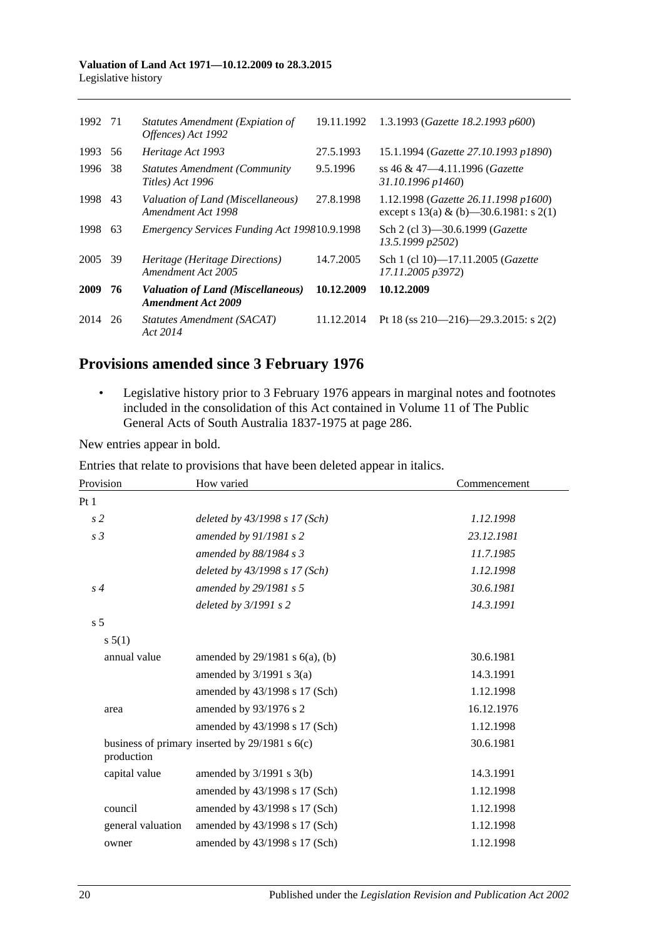#### **Valuation of Land Act 1971—10.12.2009 to 28.3.2015** Legislative history

| 1992 | 71  | Statutes Amendment (Expiation of<br>Offences) Act 1992         | 19.11.1992 | 1.3.1993 (Gazette 18.2.1993 p600)                                                 |
|------|-----|----------------------------------------------------------------|------------|-----------------------------------------------------------------------------------|
| 1993 | 56  | Heritage Act 1993                                              | 27.5.1993  | 15.1.1994 (Gazette 27.10.1993 p1890)                                              |
| 1996 | 38  | <b>Statutes Amendment (Community)</b><br>Titles) Act 1996      | 9.5.1996   | ss 46 & 47-4.11.1996 (Gazette<br>31.10.1996 p1460)                                |
| 1998 | 43  | Valuation of Land (Miscellaneous)<br>Amendment Act 1998        | 27.8.1998  | 1.12.1998 (Gazette 26.11.1998 p1600)<br>except s $13(a)$ & (b) -30.6.1981: s 2(1) |
| 1998 | 63  | Emergency Services Funding Act 199810.9.1998                   |            | Sch 2 (cl 3)–30.6.1999 ( <i>Gazette</i><br>13.5.1999 p2502)                       |
| 2005 | -39 | Heritage (Heritage Directions)<br>Amendment Act 2005           | 14.7.2005  | Sch 1 (cl 10)-17.11.2005 (Gazette<br>17.11.2005 p3972)                            |
| 2009 | 76  | Valuation of Land (Miscellaneous)<br><b>Amendment Act 2009</b> | 10.12.2009 | 10.12.2009                                                                        |
| 2014 | 26  | Statutes Amendment (SACAT)<br>Act 2014                         | 11.12.2014 | Pt 18 (ss 210–216)–29.3.2015: s 2(2)                                              |

## **Provisions amended since 3 February 1976**

• Legislative history prior to 3 February 1976 appears in marginal notes and footnotes included in the consolidation of this Act contained in Volume 11 of The Public General Acts of South Australia 1837-1975 at page 286.

New entries appear in bold.

| Entries that relate to provisions that have been deleted appear in italics. |  |  |  |
|-----------------------------------------------------------------------------|--|--|--|
|-----------------------------------------------------------------------------|--|--|--|

| Provision         | How varied                                         | Commencement |
|-------------------|----------------------------------------------------|--------------|
| Pt1               |                                                    |              |
| s <sub>2</sub>    | deleted by $43/1998 s 17 (Sch)$                    | 1.12.1998    |
| s <sub>3</sub>    | amended by 91/1981 s 2                             | 23.12.1981   |
|                   | amended by $88/1984$ s 3                           | 11.7.1985    |
|                   | deleted by 43/1998 s 17 (Sch)                      | 1.12.1998    |
| $s\,4$            | amended by 29/1981 s 5                             | 30.6.1981    |
|                   | deleted by $3/1991$ s 2                            | 14.3.1991    |
| s <sub>5</sub>    |                                                    |              |
| s 5(1)            |                                                    |              |
| annual value      | amended by $29/1981$ s $6(a)$ , (b)                | 30.6.1981    |
|                   | amended by $3/1991$ s $3(a)$                       | 14.3.1991    |
|                   | amended by 43/1998 s 17 (Sch)                      | 1.12.1998    |
| area              | amended by 93/1976 s 2                             | 16.12.1976   |
|                   | amended by 43/1998 s 17 (Sch)                      | 1.12.1998    |
| production        | business of primary inserted by $29/1981$ s $6(c)$ | 30.6.1981    |
| capital value     | amended by $3/1991$ s $3(b)$                       | 14.3.1991    |
|                   | amended by 43/1998 s 17 (Sch)                      | 1.12.1998    |
| council           | amended by 43/1998 s 17 (Sch)                      | 1.12.1998    |
| general valuation | amended by 43/1998 s 17 (Sch)                      | 1.12.1998    |
| owner             | amended by 43/1998 s 17 (Sch)                      | 1.12.1998    |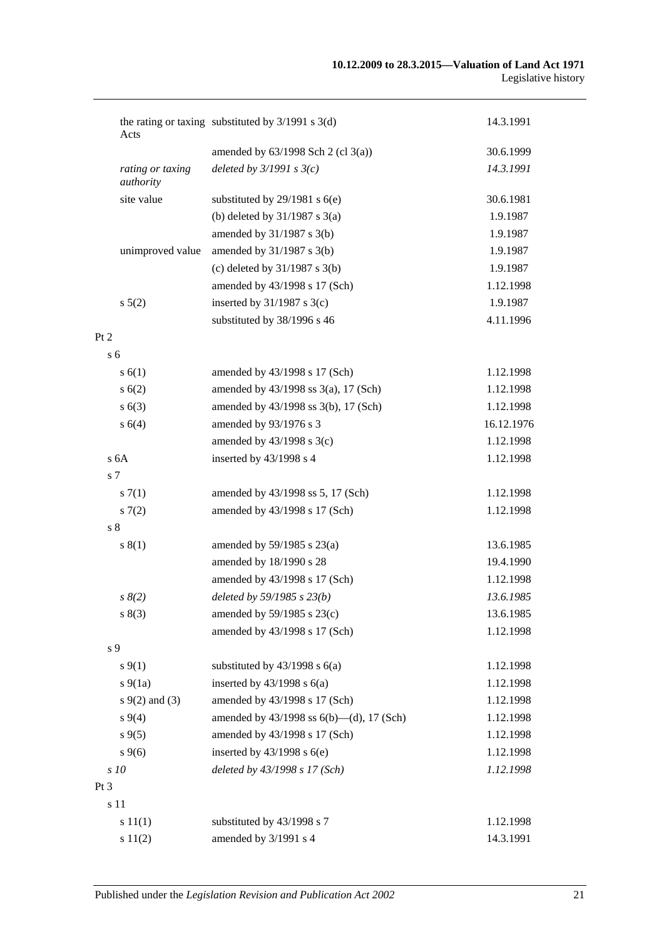| Acts                          | the rating or taxing substituted by $3/1991$ s $3(d)$ | 14.3.1991  |
|-------------------------------|-------------------------------------------------------|------------|
|                               | amended by $63/1998$ Sch 2 (cl 3(a))                  | 30.6.1999  |
| rating or taxing<br>authority | deleted by $3/1991 s 3(c)$                            | 14.3.1991  |
| site value                    | substituted by $29/1981$ s $6(e)$                     | 30.6.1981  |
|                               | (b) deleted by $31/1987$ s $3(a)$                     | 1.9.1987   |
|                               | amended by $31/1987$ s $3(b)$                         | 1.9.1987   |
| unimproved value              | amended by $31/1987$ s $3(b)$                         | 1.9.1987   |
|                               | (c) deleted by $31/1987$ s $3(b)$                     | 1.9.1987   |
|                               | amended by 43/1998 s 17 (Sch)                         | 1.12.1998  |
| s 5(2)                        | inserted by $31/1987$ s $3(c)$                        | 1.9.1987   |
|                               | substituted by 38/1996 s 46                           | 4.11.1996  |
| Pt 2                          |                                                       |            |
| s <sub>6</sub>                |                                                       |            |
| s(6(1))                       | amended by 43/1998 s 17 (Sch)                         | 1.12.1998  |
| s(6(2)                        | amended by 43/1998 ss 3(a), 17 (Sch)                  | 1.12.1998  |
| s(6(3))                       | amended by 43/1998 ss 3(b), 17 (Sch)                  | 1.12.1998  |
| s 6(4)                        | amended by 93/1976 s 3                                | 16.12.1976 |
|                               | amended by $43/1998$ s $3(c)$                         | 1.12.1998  |
| s <sub>6A</sub>               | inserted by 43/1998 s 4                               | 1.12.1998  |
| s 7                           |                                                       |            |
| s(7(1))                       | amended by 43/1998 ss 5, 17 (Sch)                     | 1.12.1998  |
| s(7(2)                        | amended by 43/1998 s 17 (Sch)                         | 1.12.1998  |
| s <sub>8</sub>                |                                                       |            |
| s(1)                          | amended by $59/1985$ s $23(a)$                        | 13.6.1985  |
|                               | amended by 18/1990 s 28                               | 19.4.1990  |
|                               | amended by 43/1998 s 17 (Sch)                         | 1.12.1998  |
| $s \, 8(2)$                   | deleted by 59/1985 s 23(b)                            | 13.6.1985  |
| s(3)                          | amended by 59/1985 s 23(c)                            | 13.6.1985  |
|                               | amended by 43/1998 s 17 (Sch)                         | 1.12.1998  |
| s 9                           |                                                       |            |
| $s \, 9(1)$                   | substituted by $43/1998$ s $6(a)$                     | 1.12.1998  |
| $s\ 9(1a)$                    | inserted by $43/1998$ s $6(a)$                        | 1.12.1998  |
| $s \, 9(2)$ and (3)           | amended by 43/1998 s 17 (Sch)                         | 1.12.1998  |
| $s\,9(4)$                     | amended by 43/1998 ss 6(b)—(d), 17 (Sch)              | 1.12.1998  |
| $s\,9(5)$                     | amended by 43/1998 s 17 (Sch)                         | 1.12.1998  |
| $s \, 9(6)$                   | inserted by $43/1998$ s $6(e)$                        | 1.12.1998  |
| s 10                          | deleted by 43/1998 s 17 (Sch)                         | 1.12.1998  |
| Pt 3                          |                                                       |            |
| s 11                          |                                                       |            |
| s 11(1)                       | substituted by 43/1998 s 7                            | 1.12.1998  |
| s 11(2)                       | amended by 3/1991 s 4                                 | 14.3.1991  |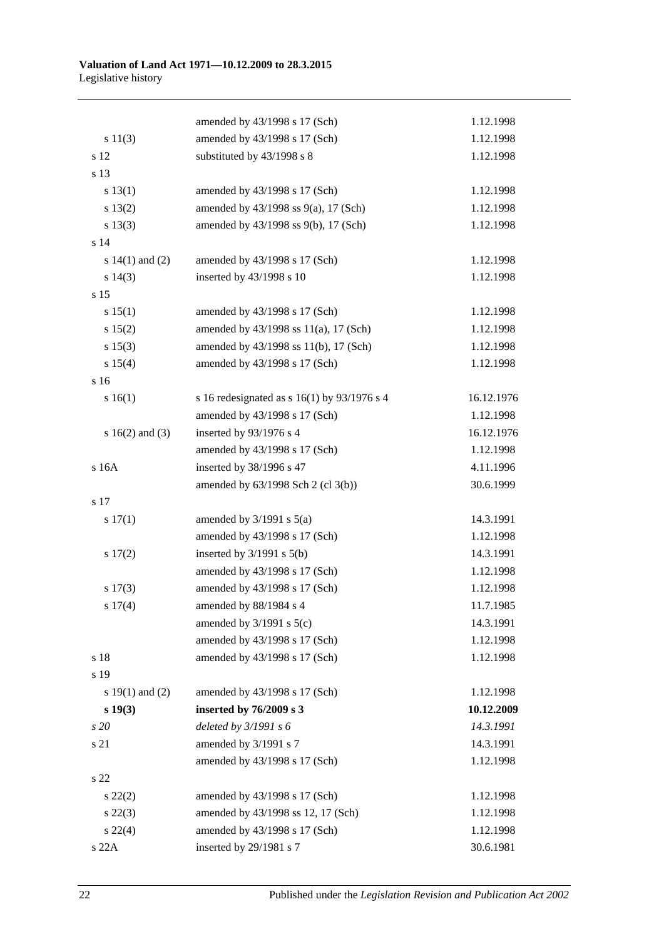|                     | amended by 43/1998 s 17 (Sch)                 | 1.12.1998  |
|---------------------|-----------------------------------------------|------------|
| s 11(3)             | amended by 43/1998 s 17 (Sch)                 | 1.12.1998  |
| s 12                | substituted by 43/1998 s 8                    | 1.12.1998  |
| s 13                |                                               |            |
| s 13(1)             | amended by 43/1998 s 17 (Sch)                 | 1.12.1998  |
| s 13(2)             | amended by 43/1998 ss 9(a), 17 (Sch)          | 1.12.1998  |
| s 13(3)             | amended by 43/1998 ss 9(b), 17 (Sch)          | 1.12.1998  |
| s 14                |                                               |            |
| s $14(1)$ and $(2)$ | amended by 43/1998 s 17 (Sch)                 | 1.12.1998  |
| $s\ 14(3)$          | inserted by 43/1998 s 10                      | 1.12.1998  |
| s 15                |                                               |            |
| s 15(1)             | amended by 43/1998 s 17 (Sch)                 | 1.12.1998  |
| s 15(2)             | amended by 43/1998 ss 11(a), 17 (Sch)         | 1.12.1998  |
| s 15(3)             | amended by 43/1998 ss 11(b), 17 (Sch)         | 1.12.1998  |
| s 15(4)             | amended by 43/1998 s 17 (Sch)                 | 1.12.1998  |
| s 16                |                                               |            |
| s 16(1)             | s 16 redesignated as s $16(1)$ by 93/1976 s 4 | 16.12.1976 |
|                     | amended by 43/1998 s 17 (Sch)                 | 1.12.1998  |
| s $16(2)$ and $(3)$ | inserted by 93/1976 s 4                       | 16.12.1976 |
|                     | amended by 43/1998 s 17 (Sch)                 | 1.12.1998  |
| s 16A               | inserted by 38/1996 s 47                      | 4.11.1996  |
|                     | amended by 63/1998 Sch 2 (cl 3(b))            | 30.6.1999  |
| s 17                |                                               |            |
| 17(1)               | amended by $3/1991$ s $5(a)$                  | 14.3.1991  |
|                     | amended by 43/1998 s 17 (Sch)                 | 1.12.1998  |
| 17(2)               | inserted by $3/1991$ s $5(b)$                 | 14.3.1991  |
|                     | amended by 43/1998 s 17 (Sch)                 | 1.12.1998  |
| $s\ 17(3)$          | amended by 43/1998 s 17 (Sch)                 | 1.12.1998  |
| s 17(4)             | amended by 88/1984 s 4                        | 11.7.1985  |
|                     | amended by $3/1991$ s $5(c)$                  | 14.3.1991  |
|                     | amended by 43/1998 s 17 (Sch)                 | 1.12.1998  |
| s 18                | amended by 43/1998 s 17 (Sch)                 | 1.12.1998  |
| s 19                |                                               |            |
| s $19(1)$ and $(2)$ | amended by 43/1998 s 17 (Sch)                 | 1.12.1998  |
| $s\ 19(3)$          | inserted by 76/2009 s 3                       | 10.12.2009 |
| s20                 | deleted by 3/1991 s 6                         | 14.3.1991  |
| s 21                | amended by 3/1991 s 7                         | 14.3.1991  |
|                     | amended by 43/1998 s 17 (Sch)                 | 1.12.1998  |
| s 22                |                                               |            |
| $s\ 22(2)$          | amended by 43/1998 s 17 (Sch)                 | 1.12.1998  |
| $s\,22(3)$          | amended by 43/1998 ss 12, 17 (Sch)            | 1.12.1998  |
| $s\,22(4)$          | amended by 43/1998 s 17 (Sch)                 | 1.12.1998  |
| s 22A               | inserted by 29/1981 s 7                       | 30.6.1981  |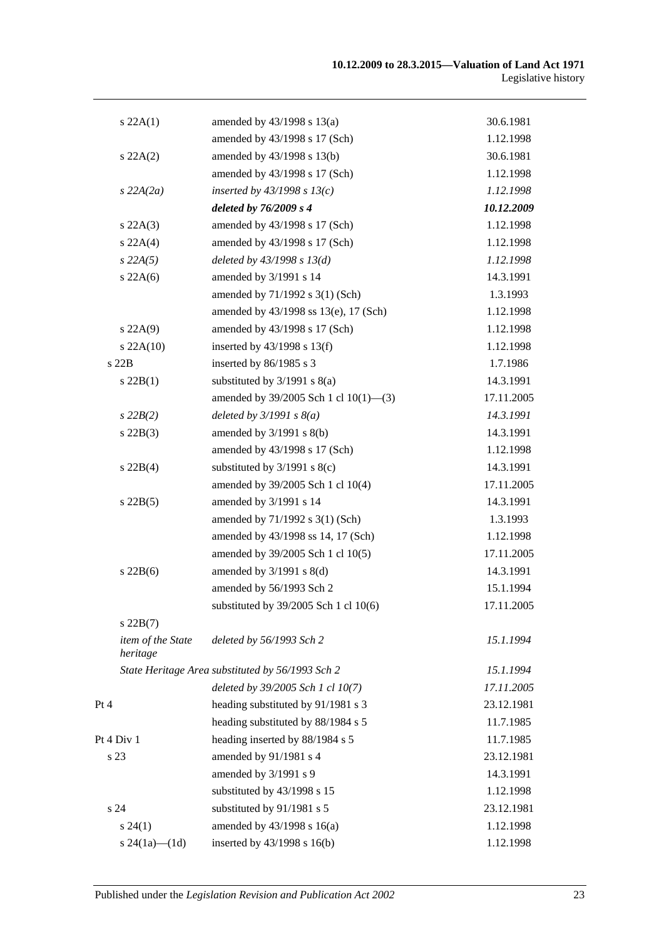| s 22A(1)                      | amended by $43/1998$ s $13(a)$                   | 30.6.1981  |
|-------------------------------|--------------------------------------------------|------------|
|                               | amended by 43/1998 s 17 (Sch)                    | 1.12.1998  |
| $s\,22A(2)$                   | amended by 43/1998 s 13(b)                       | 30.6.1981  |
|                               | amended by 43/1998 s 17 (Sch)                    | 1.12.1998  |
| $s$ 22A(2a)                   | inserted by $43/1998$ s $13(c)$                  | 1.12.1998  |
|                               | deleted by 76/2009 s 4                           | 10.12.2009 |
| s 22A(3)                      | amended by 43/1998 s 17 (Sch)                    | 1.12.1998  |
| s 22A(4)                      | amended by 43/1998 s 17 (Sch)                    | 1.12.1998  |
| $s\,22A(5)$                   | deleted by $43/1998 s 13(d)$                     | 1.12.1998  |
| $s\,22A(6)$                   | amended by 3/1991 s 14                           | 14.3.1991  |
|                               | amended by 71/1992 s 3(1) (Sch)                  | 1.3.1993   |
|                               | amended by 43/1998 ss 13(e), 17 (Sch)            | 1.12.1998  |
| s 22A(9)                      | amended by 43/1998 s 17 (Sch)                    | 1.12.1998  |
| $s$ 22A(10)                   | inserted by $43/1998$ s $13(f)$                  | 1.12.1998  |
| s22B                          | inserted by 86/1985 s 3                          | 1.7.1986   |
| $s$ 22B(1)                    | substituted by $3/1991$ s $8(a)$                 | 14.3.1991  |
|                               | amended by 39/2005 Sch 1 cl 10(1)-(3)            | 17.11.2005 |
| $s\,22B(2)$                   | deleted by $3/1991 s 8(a)$                       | 14.3.1991  |
| $s$ 22B(3)                    | amended by $3/1991$ s $8(b)$                     | 14.3.1991  |
|                               | amended by 43/1998 s 17 (Sch)                    | 1.12.1998  |
| $s$ 22B(4)                    | substituted by $3/1991$ s $8(c)$                 | 14.3.1991  |
|                               | amended by 39/2005 Sch 1 cl 10(4)                | 17.11.2005 |
| $s$ 22B(5)                    | amended by 3/1991 s 14                           | 14.3.1991  |
|                               | amended by 71/1992 s 3(1) (Sch)                  | 1.3.1993   |
|                               | amended by 43/1998 ss 14, 17 (Sch)               | 1.12.1998  |
|                               | amended by 39/2005 Sch 1 cl 10(5)                | 17.11.2005 |
| $s$ 22B(6)                    | amended by $3/1991$ s $8(d)$                     | 14.3.1991  |
|                               | amended by 56/1993 Sch 2                         | 15.1.1994  |
|                               | substituted by 39/2005 Sch 1 cl 10(6)            | 17.11.2005 |
| $s$ 22B $(7)$                 |                                                  |            |
| item of the State<br>heritage | deleted by 56/1993 Sch 2                         | 15.1.1994  |
|                               | State Heritage Area substituted by 56/1993 Sch 2 | 15.1.1994  |
|                               | deleted by 39/2005 Sch 1 cl 10(7)                | 17.11.2005 |
| Pt 4                          | heading substituted by 91/1981 s 3               | 23.12.1981 |
|                               | heading substituted by 88/1984 s 5               | 11.7.1985  |
| Pt 4 Div 1                    | heading inserted by 88/1984 s 5                  | 11.7.1985  |
| s 23                          | amended by 91/1981 s 4                           | 23.12.1981 |
|                               | amended by 3/1991 s 9                            | 14.3.1991  |
|                               | substituted by 43/1998 s 15                      | 1.12.1998  |
| s <sub>24</sub>               | substituted by 91/1981 s 5                       | 23.12.1981 |
| $s\,24(1)$                    | amended by 43/1998 s 16(a)                       | 1.12.1998  |
| s $24(1a)$ (1d)               | inserted by 43/1998 s 16(b)                      | 1.12.1998  |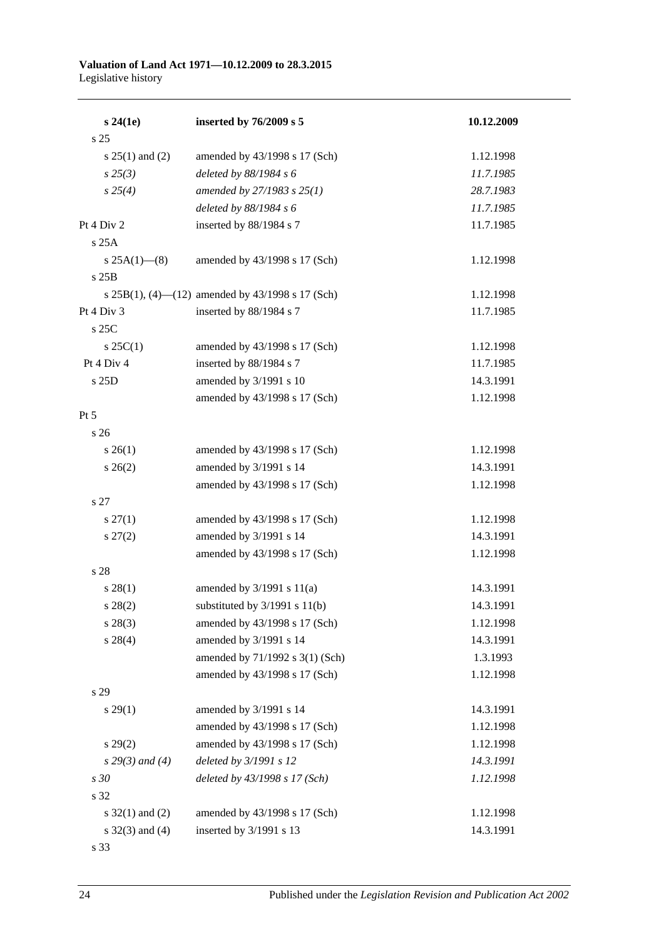#### **Valuation of Land Act 1971—10.12.2009 to 28.3.2015** Legislative history

| $s\,24(1e)$         | inserted by 76/2009 s 5                          | 10.12.2009 |
|---------------------|--------------------------------------------------|------------|
| s <sub>25</sub>     |                                                  |            |
| s $25(1)$ and $(2)$ | amended by 43/1998 s 17 (Sch)                    | 1.12.1998  |
| $s\,25(3)$          | deleted by 88/1984 s 6                           | 11.7.1985  |
| $s \, 25(4)$        | amended by 27/1983 s 25(1)                       | 28.7.1983  |
|                     | deleted by 88/1984 s 6                           | 11.7.1985  |
| Pt 4 Div 2          | inserted by 88/1984 s 7                          | 11.7.1985  |
| s 25A               |                                                  |            |
| $s 25A(1)$ (8)      | amended by 43/1998 s 17 (Sch)                    | 1.12.1998  |
| s 25B               |                                                  |            |
|                     | s 25B(1), (4)-(12) amended by 43/1998 s 17 (Sch) | 1.12.1998  |
| Pt 4 Div 3          | inserted by 88/1984 s 7                          | 11.7.1985  |
| $s$ 25C             |                                                  |            |
| $s \, 25C(1)$       | amended by 43/1998 s 17 (Sch)                    | 1.12.1998  |
| Pt 4 Div 4          | inserted by 88/1984 s 7                          | 11.7.1985  |
| s 25D               | amended by 3/1991 s 10                           | 14.3.1991  |
|                     | amended by 43/1998 s 17 (Sch)                    | 1.12.1998  |
| $Pt\,5$             |                                                  |            |
| s 26                |                                                  |            |
| $s \; 26(1)$        | amended by 43/1998 s 17 (Sch)                    | 1.12.1998  |
| $s \; 26(2)$        | amended by 3/1991 s 14                           | 14.3.1991  |
|                     | amended by 43/1998 s 17 (Sch)                    | 1.12.1998  |
| s 27                |                                                  |            |
| $s \, 27(1)$        | amended by 43/1998 s 17 (Sch)                    | 1.12.1998  |
| $s\,27(2)$          | amended by 3/1991 s 14                           | 14.3.1991  |
|                     | amended by 43/1998 s 17 (Sch)                    | 1.12.1998  |
| s 28                |                                                  |            |
| $s\,28(1)$          | amended by $3/1991$ s $11(a)$                    | 14.3.1991  |
| $s\,28(2)$          | substituted by $3/1991$ s $11(b)$                | 14.3.1991  |
| $s\,28(3)$          | amended by 43/1998 s 17 (Sch)                    | 1.12.1998  |
| $s\,28(4)$          | amended by 3/1991 s 14                           | 14.3.1991  |
|                     | amended by 71/1992 s 3(1) (Sch)                  | 1.3.1993   |
|                     | amended by 43/1998 s 17 (Sch)                    | 1.12.1998  |
| s 29                |                                                  |            |
| $s\,29(1)$          | amended by 3/1991 s 14                           | 14.3.1991  |
|                     | amended by 43/1998 s 17 (Sch)                    | 1.12.1998  |
| s 29(2)             | amended by 43/1998 s 17 (Sch)                    | 1.12.1998  |
| $s 29(3)$ and (4)   | deleted by 3/1991 s 12                           | 14.3.1991  |
| s 30                | deleted by 43/1998 s 17 (Sch)                    | 1.12.1998  |
| s 32                |                                                  |            |
| s $32(1)$ and (2)   | amended by 43/1998 s 17 (Sch)                    | 1.12.1998  |
| s $32(3)$ and $(4)$ | inserted by 3/1991 s 13                          | 14.3.1991  |
| s 33                |                                                  |            |